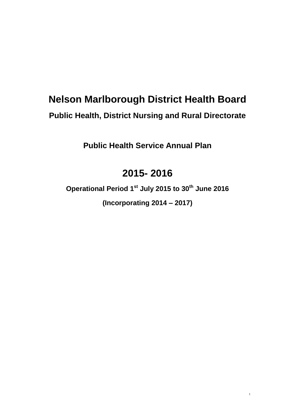# **Nelson Marlborough District Health Board**

**Public Health, District Nursing and Rural Directorate** 

**Public Health Service Annual Plan**

# **2015- 2016**

**Operational Period 1st July 2015 to 30th June 2016**

**(Incorporating 2014 – 2017)**

1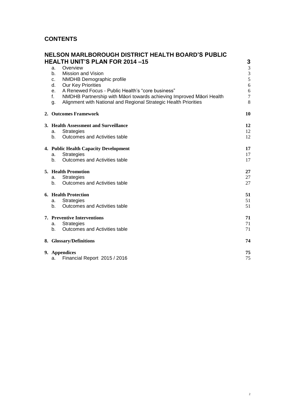# **CONTENTS**

<span id="page-1-0"></span>

|                                        | <b>NELSON MARLBOROUGH DISTRICT HEALTH BOARD'S PUBLIC</b><br><b>HEALTH UNIT'S PLAN FOR 2014-15</b>                                                                                                                                                                                  |                                                                                       |
|----------------------------------------|------------------------------------------------------------------------------------------------------------------------------------------------------------------------------------------------------------------------------------------------------------------------------------|---------------------------------------------------------------------------------------|
| a.<br>b.<br>c.<br>d.<br>e.<br>f.<br>g. | Overview<br>Mission and Vision<br>NMDHB Demographic profile<br>Our Key Priorities<br>A Renewed Focus - Public Health's "core business"<br>NMDHB Partnership with Māori towards achieving Improved Māori Health<br>Alignment with National and Regional Strategic Health Priorities | 3<br>$\mathfrak{Z}$<br>$rac{3}{5}$<br>$\epsilon$<br>$\epsilon$<br>$\overline{7}$<br>8 |
|                                        | 2. Outcomes Framework                                                                                                                                                                                                                                                              | 10                                                                                    |
| a.<br>b.                               | 3. Health Assessment and Surveillance<br><b>Strategies</b><br>Outcomes and Activities table                                                                                                                                                                                        | 12<br>12<br>12                                                                        |
| a.<br>b.                               | 4. Public Health Capacity Development<br><b>Strategies</b><br>Outcomes and Activities table                                                                                                                                                                                        | 17<br>17<br>17                                                                        |
| a.<br>b.                               | <b>5. Health Promotion</b><br><b>Strategies</b><br>Outcomes and Activities table                                                                                                                                                                                                   | 27<br>27<br>27                                                                        |
| a.<br>b.                               | 6. Health Protection<br><b>Strategies</b><br>Outcomes and Activities table                                                                                                                                                                                                         | 51<br>51<br>51                                                                        |
| a.<br>b.                               | 7. Preventive Interventions<br><b>Strategies</b><br>Outcomes and Activities table                                                                                                                                                                                                  | 71<br>71<br>71                                                                        |
|                                        | 8. Glossary/Definitions                                                                                                                                                                                                                                                            | 74                                                                                    |
| a.                                     | 9. Appendices<br>Financial Report 2015 / 2016                                                                                                                                                                                                                                      | 75<br>75                                                                              |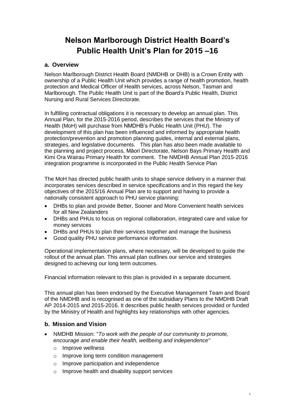# **Nelson Marlborough District Health Board's Public Health Unit's Plan for 2015 –16**

# <span id="page-2-0"></span>**a. Overview**

Nelson Marlborough District Health Board (NMDHB or DHB) is a Crown Entity with ownership of a Public Health Unit which provides a range of health promotion, health protection and Medical Officer of Health services, across Nelson, Tasman and Marlborough. The Public Health Unit is part of the Board's Public Health, District Nursing and Rural Services Directorate.

In fulfilling contractual obligations it is necessary to develop an annual plan. This Annual Plan, for the 2015-2016 period, describes the services that the Ministry of Health (MoH) will purchase from NMDHB's Public Health Unit (PHU). The development of this plan has been influenced and informed by appropriate health protection/prevention and promotion planning guides, internal and external plans, strategies, and legislative documents. This plan has also been made available to the planning and project process, Māori Directorate, Nelson Bays Primary Health and Kimi Ora Wairau Primary Health for comment. The NMDHB Annual Plan 2015-2016 integration programme is incorporated in the Public Health Service Plan

The MoH has directed public health units to shape service delivery in a manner that incorporates services described in service specifications and in this regard the key objectives of the 2015/16 Annual Plan are to support and having to provide a nationally consistent approach to PHU service planning:

- DHBs to plan and provide Better, Sooner and More Convenient health services for all New Zealanders
- DHBs and PHUs to focus on regional collaboration, integrated care and value for money services
- DHBs and PHUs to plan their services together and manage the business
- Good quality PHU service performance information.

Operational implementation plans, where necessary, will be developed to guide the rollout of the annual plan. This annual plan outlines our service and strategies designed to achieving our long term outcomes.

Financial information relevant to this plan is provided in a separate document.

This annual plan has been endorsed by the Executive Management Team and Board of the NMDHB and is recognised as one of the subsidiary Plans to the NMDHB Draft AP 2014-2015 and 2015-2016. It describes public health services provided or funded by the Ministry of Health and highlights key relationships with other agencies.

# <span id="page-2-1"></span>**b. Mission and Vision**

- NMDHB Mission: "*To work with the people of our community to promote, encourage and enable their health, wellbeing and independence"*
	- o Improve wellness
	- o Improve long term condition management
	- o Improve participation and independence
	- o Improve health and disability support services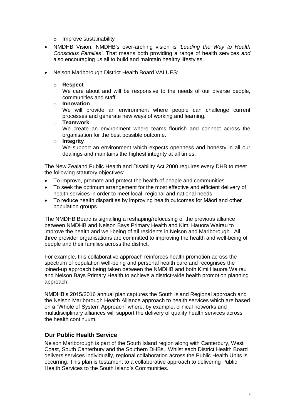- o Improve sustainability
- NMDHB Vision: NMDHB's over-arching vision is *'Leading the Way to Health Conscious Families'*. That means both providing a range of health services *and* also encouraging us all to build and maintain healthy lifestyles.
- Nelson Marlborough District Health Board VALUES:
	- o **Respect**

We care about and will be responsive to the needs of our diverse people, communities and staff.

o **Innovation**

We will provide an environment where people can challenge current processes and generate new ways of working and learning.

o **Teamwork**

We create an environment where teams flourish and connect across the organisation for the best possible outcome.

#### o **Integrity**

We support an environment which expects openness and honesty in all our dealings and maintains the highest integrity at all times.

The New Zealand Public Health and Disability Act 2000 requires every DHB to meet the following statutory objectives:

- To improve, promote and protect the health of people and communities
- To seek the optimum arrangement for the most effective and efficient delivery of health services in order to meet local, regional and national needs
- To reduce health disparities by improving health outcomes for Māori and other population groups.

The NMDHB Board is signalling a reshaping/refocusing of the previous alliance between NMDHB and Nelson Bays Primary Health and Kimi Hauora Wairau to improve the health and well-being of all residents in Nelson and Marlborough. All three provider organisations are committed to improving the health and well-being of people and their families across the district.

For example, this collaborative approach reinforces health promotion across the spectrum of population well-being and personal health care and recognises the joined-up approach being taken between the NMDHB and both Kimi Hauora Wairau and Nelson Bays Primary Health to achieve a district-wide health promotion planning approach.

NMDHB's 2015/2016 annual plan captures the South Island Regional approach and the Nelson Marlborough Health Alliance approach to health services which are based on a "Whole of System Approach" where, by example, clinical networks and multidisciplinary alliances will support the delivery of quality health services across the health continuum.

#### **Our Public Health Service**

Nelson Marlborough is part of the South Island region along with Canterbury, West Coast, South Canterbury and the Southern DHBs. Whilst each District Health Board delivers services individually, regional collaboration across the Public Health Units is occurring. This plan is testament to a collaborative approach to delivering Public Health Services to the South Island's Communities.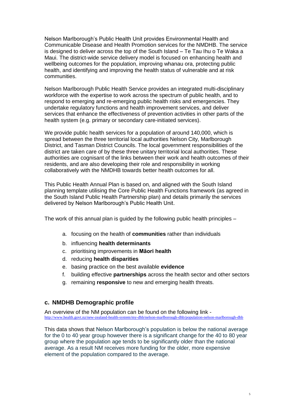Nelson Marlborough's Public Health Unit provides Environmental Health and Communicable Disease and Health Promotion services for the NMDHB. The service is designed to deliver across the top of the South Island – Te Tau Ihu o Te Waka a Maui. The district-wide service delivery model is focused on enhancing health and wellbeing outcomes for the population, improving whanau ora, protecting public health, and identifying and improving the health status of vulnerable and at risk communities.

Nelson Marlborough Public Health Service provides an integrated multi-disciplinary workforce with the expertise to work across the spectrum of public health, and to respond to emerging and re-emerging public health risks and emergencies. They undertake regulatory functions and health improvement services, and deliver services that enhance the effectiveness of prevention activities in other parts of the health system (e.g. primary or secondary care-initiated services).

We provide public health services for a population of around 140,000, which is spread between the three territorial local authorities Nelson City, Marlborough District, and Tasman District Councils. The local government responsibilities of the district are taken care of by these three unitary territorial local authorities. These authorities are cognisant of the links between their work and health outcomes of their residents, and are also developing their role and responsibility in working collaboratively with the NMDHB towards better health outcomes for all.

This Public Health Annual Plan is based on, and aligned with the South Island planning template utilising the Core Public Health Functions framework (as agreed in the South Island Public Health Partnership plan) and details primarily the services delivered by Nelson Marlborough's Public Health Unit.

The work of this annual plan is guided by the following public health principles –

- a. focusing on the health of **communities** rather than individuals
- b. influencing **health determinants**
- c. prioritising improvements in **Māori health**
- d. reducing **health disparities**
- e. basing practice on the best available **evidence**
- f. building effective **partnerships** across the health sector and other sectors
- g. remaining **responsive** to new and emerging health threats.

#### <span id="page-4-0"></span>**c. NMDHB Demographic profile**

An overview of the NM population can be found on the following link -<br>http://www.health.govt.nz/new-zealand-health-system/my-dhb/nelson-marlborough-dhb/population-nelso health-system/my-dhb/nelson-marlborough-dhb/nopulation-nelson-marlborough-dhb-

This data shows that Nelson Marlborough's population is below the national average for the 0 to 40 year group however there is a significant change for the 40 to 80 year group where the population age tends to be significantly older than the national average. As a result NM receives more funding for the older, more expensive element of the population compared to the average.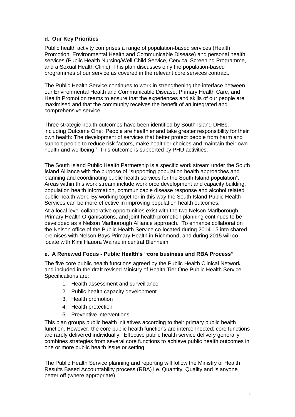### <span id="page-5-0"></span>**d. Our Key Priorities**

Public health activity comprises a range of population-based services (Health Promotion, Environmental Health and Communicable Disease) and personal health services (Public Health Nursing/Well Child Service, Cervical Screening Programme, and a Sexual Health Clinic). This plan discusses only the population-based programmes of our service as covered in the relevant core services contract.

The Public Health Service continues to work in strengthening the interface between our Environmental Health and Communicable Disease, Primary Health Care, and Health Promotion teams to ensure that the experiences and skills of our people are maximised and that the community receives the benefit of an integrated and comprehensive service.

Three strategic health outcomes have been identified by South Island DHBs, including Outcome One: 'People are healthier and take greater responsibility for their own health: The development of services that better protect people from harm and support people to reduce risk factors, make healthier choices and maintain their own health and wellbeing.' This outcome is supported by PHU activities.

The South Island Public Health Partnership is a specific work stream under the South Island Alliance with the purpose of "supporting population health approaches and planning and coordinating public health services for the South Island population". Areas within this work stream include workforce development and capacity building, population health information, communicable disease response and alcohol related public health work. By working together in this way the South Island Public Health Services can be more effective in improving population health outcomes.

At a local level collaborative opportunities exist with the two Nelson Marlborough Primary Health Organisations, and joint health promotion planning continues to be developed as a Nelson Marlborough Alliance approach. To enhance collaboration the Nelson office of the Public Health Service co-located during 2014-15 into shared premises with Nelson Bays Primary Health in Richmond, and during 2015 will colocate with Kimi Hauora Wairau in central Blenheim.

#### <span id="page-5-1"></span>**e. A Renewed Focus - Public Health's "core business and RBA Process"**

The five core public health functions agreed by the Public Health Clinical Network and included in the draft revised Ministry of Health Tier One Public Health Service Specifications are:

- 1. Health assessment and surveillance
- 2. Public health capacity development
- 3. Health promotion
- 4. Health protection
- 5. Preventive interventions.

This plan groups public health initiatives according to their primary public health function. However, the core public health functions are interconnected; core functions are rarely delivered individually. Effective public health service delivery generally combines strategies from several core functions to achieve public health outcomes in one or more public health issue or setting.

The Public Health Service planning and reporting will follow the Ministry of Health Results Based Accountability process (RBA) i.e. Quantity, Quality and is anyone better off (where appropriate).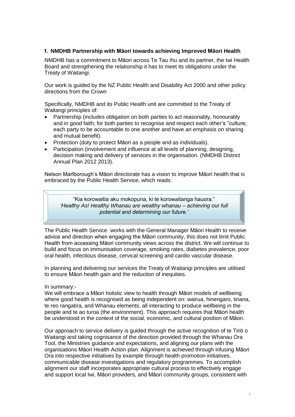#### <span id="page-6-0"></span>**f. NMDHB Partnership with Māori towards achieving Improved Māori Health**

NMDHB has a commitment to Māori across Te Tau Ihu and its partner, the Iwi Health Board and strengthening the relationship it has to meet its obligations under the Treaty of Waitangi.

Our work is guided by the NZ Public Health and Disability Act 2000 and other policy directions from the Crown

Specifically, NMDHB and its Public Health unit are committed to the Treaty of Waitangi principles of:

- Partnership (includes obligation on both parties to act reasonably, honourably and in good faith; for both parties to recognise and respect each other's "culture; each party to be accountable to one another and have an emphasis on sharing and mutual benefit).
- Protection (duty to protect Māori as a people and as individuals).
- Participation (involvement and influence at all levels of planning, designing, decision making and delivery of services in the organisation. (NMDHB District Annual Plan 2012 2013).

Nelson Marlborough's Māori directorate has a vision to improve Māori health that is embraced by the Public Health Service, which reads:

"Kia korowaitia aku mokopuna, ki te korowaitanga hauora." *'Healthy As! Healthy Whanau are wealthy whanau – achieving our full potential and determining our future.'*

The Public Health Service works with the General Manager Māori Health to receive advice and direction when engaging the Māori community, this does not limit Public Health from accessing Māori community views across the district. We will continue to build and focus on immunisation coverage, smoking rates, diabetes prevalence, poor oral health, infectious disease, cervical screening and cardio vascular disease.

In planning and delivering our services the Treaty of Waitangi principles are utilised to ensure Māori health gain and the reduction of inequities.

#### In summary:-

We will embrace a Māori holistic view to health through Māori models of wellbeing where good health is recognised as being independent on: wairua, hinengaro, tinana, te reo rangatira, and Whanau elements, all interacting to produce wellbeing in the people and te ao turoa (the environment). This approach requires that Māori health be understood in the context of the social, economic, and cultural position of Māori.

Our approach to service delivery is guided through the active recognition of te Tiriti o Waitangi and taking cognisance of the direction provided through the Whanau Ora Tool, the Ministries guidance and expectations, and aligning our plans with the organisations Māori Health Action plan. Alignment is achieved through infusing Māori Ora into respective initiatives by example through health promotion initiatives, communicable disease investigations and regulatory programmes. To accomplish alignment our staff incorporates appropriate cultural process to effectively engage and support local Iwi, Māori providers, and Māori community groups, consistent with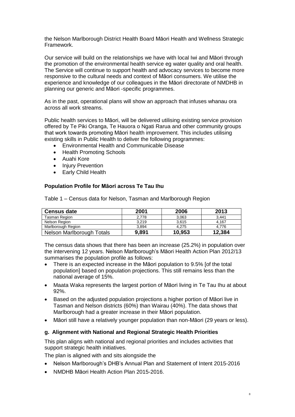the Nelson Marlborough District Health Board Māori Health and Wellness Strategic Framework.

Our service will build on the relationships we have with local Iwi and Māori through the promotion of the environmental health service eg water quality and oral health. The Service will continue to support health and advocacy services to become more responsive to the cultural needs and context of Māori consumers. We utilise the experience and knowledge of our colleagues in the Māori directorate of NMDHB in planning our generic and Māori -specific programmes.

As in the past, operational plans will show an approach that infuses whanau ora across all work streams.

Public health services to Māori, will be delivered utilising existing service provision offered by Te Piki Oranga, Te Hauora o Ngati Rarua and other community groups that work towards promoting Māori health improvement. This includes utilising existing skills in Public Health to deliver the following programmes:

- Environmental Health and Communicable Disease
- Health Promoting Schools
- Auahi Kore
- Injury Prevention
- Early Child Health

#### **Population Profile for Māori across Te Tau Ihu**

Table 1 – Census data for Nelson, Tasman and Marlborough Region

| <b>Census date</b>        | 2001  | 2006   | 2013   |
|---------------------------|-------|--------|--------|
| Tasman Region             | 2.778 | 3,063  | 3.441  |
| Nelson Region             | 3.219 | 3.615  | 4.167  |
| Marlborough Region        | 3.894 | 4.275  | 4.776  |
| Nelson Marlborough Totals | 9,891 | 10,953 | 12,384 |

The census data shows that there has been an increase (25.2%) in population over the intervening 12 years. Nelson Marlborough's Māori Health Action Plan 2012/13 summarises the population profile as follows:

- There is an expected increase in the Māori population to 9.5% [of the total population] based on population projections. This still remains less than the national average of 15%.
- Maata Waka represents the largest portion of Māori living in Te Tau Ihu at about 92%.
- Based on the adjusted population projections a higher portion of Māori live in Tasman and Nelson districts (60%) than Wairau (40%). The data shows that Marlborough had a greater increase in their Māori population.
- Māori still have a relatively younger population than non-Māori (29 years or less).

#### <span id="page-7-0"></span>**g. Alignment with National and Regional Strategic Health Priorities**

This plan aligns with national and regional priorities and includes activities that support strategic health initiatives.

The plan is aligned with and sits alongside the

- Nelson Marlborough's DHB's Annual Plan and Statement of Intent 2015-2016
- NMDHB Māori Health Action Plan 2015-2016.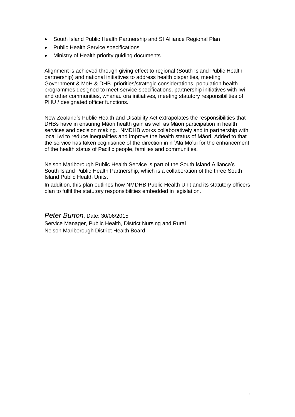- South Island Public Health Partnership and SI Alliance Regional Plan
- Public Health Service specifications
- Ministry of Health priority guiding documents

Alignment is achieved through giving effect to regional (South Island Public Health partnership) and national initiatives to address health disparities, meeting Government & MoH & DHB priorities/strategic considerations, population health programmes designed to meet service specifications, partnership initiatives with Iwi and other communities, whanau ora initiatives, meeting statutory responsibilities of PHU / designated officer functions.

New Zealand's Public Health and Disability Act extrapolates the responsibilities that DHBs have in ensuring Māori health gain as well as Māori participation in health services and decision making. NMDHB works collaboratively and in partnership with local Iwi to reduce inequalities and improve the health status of Māori. Added to that the service has taken cognisance of the direction in n 'Ala Mo'ui for the enhancement of the health status of Pacific people, families and communities.

Nelson Marlborough Public Health Service is part of the South Island Alliance's South Island Public Health Partnership, which is a collaboration of the three South Island Public Health Units.

In addition, this plan outlines how NMDHB Public Health Unit and its statutory officers plan to fulfil the statutory responsibilities embedded in legislation.

*Peter Burton*, Date: 30/06/2015 Service Manager, Public Health, District Nursing and Rural Nelson Marlborough District Health Board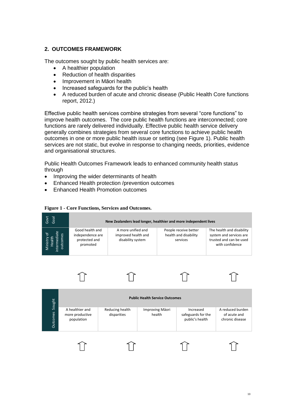# <span id="page-9-0"></span>**2. OUTCOMES FRAMEWORK**

The outcomes sought by public health services are:

- A healthier population
- Reduction of health disparities
- Improvement in Māori health
- Increased safeguards for the public's health
- A reduced burden of acute and chronic disease (Public Health Core functions report, 2012.)

Effective public health services combine strategies from several "core functions" to improve health outcomes. The core public health functions are interconnected; core functions are rarely delivered individually. Effective public health service delivery generally combines strategies from several core functions to achieve public health outcomes in one or more public health issue or setting (see Figure 1). Public health services are not static, but evolve in response to changing needs, priorities, evidence and organisational structures.

Public Health Outcomes Framework leads to enhanced community health status through

- Improving the wider determinants of health
- Enhanced Health protection /prevention outcomes
- Enhanced Health Promotion outcomes

#### **Figure 1 - Core Functions, Services and Outcomes.**

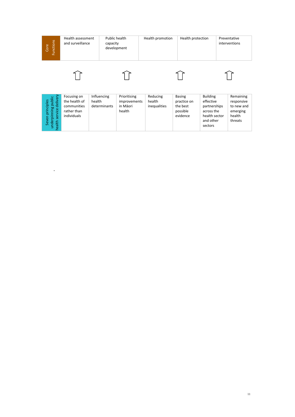| Functions<br>Core                                                  | Health assessment<br>and surveillance                                     | Public health<br>capacity             | development                                        | Health promotion                   | Health protection                                                |                                                                                                     | Preventative<br>interventions                                          |
|--------------------------------------------------------------------|---------------------------------------------------------------------------|---------------------------------------|----------------------------------------------------|------------------------------------|------------------------------------------------------------------|-----------------------------------------------------------------------------------------------------|------------------------------------------------------------------------|
|                                                                    |                                                                           |                                       |                                                    |                                    |                                                                  |                                                                                                     |                                                                        |
| health service delivery<br>underpinning public<br>Seven principles | Focusing on<br>the health of<br>communities<br>rather than<br>individuals | Influencing<br>health<br>determinants | Prioritising<br>improvements<br>in Māori<br>health | Reducing<br>health<br>inequalities | <b>Basing</b><br>practice on<br>the best<br>possible<br>evidence | <b>Building</b><br>effective<br>partnerships<br>across the<br>health sector<br>and other<br>sectors | Remaining<br>responsive<br>to new and<br>emerging<br>health<br>threats |

.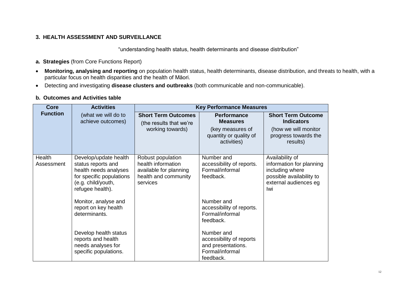#### **3. HEALTH ASSESSMENT AND SURVEILLANCE**

"understanding health status, health determinants and disease distribution"

- **a. Strategies** (from Core Functions Report)
- **Monitoring, analysing and reporting** on population health status, health determinants, disease distribution, and threats to health, with a particular focus on health disparities and the health of Māori.
- Detecting and investigating **disease clusters and outbreaks** (both communicable and non-communicable).

# **b. Outcomes and Activities table**

<span id="page-11-2"></span><span id="page-11-1"></span><span id="page-11-0"></span>

| <b>Activities</b><br><b>Core</b> |                                                                                                                                            | <b>Key Performance Measures</b>                                                                       |                                                                                                    |                                                                                                                                   |  |
|----------------------------------|--------------------------------------------------------------------------------------------------------------------------------------------|-------------------------------------------------------------------------------------------------------|----------------------------------------------------------------------------------------------------|-----------------------------------------------------------------------------------------------------------------------------------|--|
| <b>Function</b>                  | (what we will do to<br>achieve outcomes)                                                                                                   | <b>Short Term Outcomes</b><br>(the results that we're<br>working towards)                             | <b>Performance</b><br><b>Measures</b><br>(key measures of<br>quantity or quality of<br>activities) | <b>Short Term Outcome</b><br><b>Indicators</b><br>(how we will monitor<br>progress towards the<br>results)                        |  |
| Health<br>Assessment             | Develop/update health<br>status reports and<br>health needs analyses<br>for specific populations<br>(e.g. child/youth,<br>refugee health). | Robust population<br>health information<br>available for planning<br>health and community<br>services | Number and<br>accessibility of reports.<br>Formal/informal<br>feedback.                            | Availability of<br>information for planning<br>including where<br>possible availability to<br>external audiences eg<br><b>Iwi</b> |  |
|                                  | Monitor, analyse and<br>report on key health<br>determinants.                                                                              |                                                                                                       | Number and<br>accessibility of reports.<br>Formal/informal<br>feedback.                            |                                                                                                                                   |  |
|                                  | Develop health status<br>reports and health<br>needs analyses for<br>specific populations.                                                 |                                                                                                       | Number and<br>accessibility of reports<br>and presentations.<br>Formal/informal<br>feedback.       |                                                                                                                                   |  |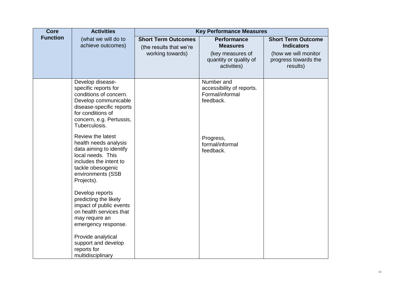| <b>Core</b>     | <b>Activities</b>                                                                                                                                                                        | <b>Key Performance Measures</b>                                           |                                                                                                    |                                                                                                            |
|-----------------|------------------------------------------------------------------------------------------------------------------------------------------------------------------------------------------|---------------------------------------------------------------------------|----------------------------------------------------------------------------------------------------|------------------------------------------------------------------------------------------------------------|
| <b>Function</b> | (what we will do to<br>achieve outcomes)                                                                                                                                                 | <b>Short Term Outcomes</b><br>(the results that we're<br>working towards) | <b>Performance</b><br><b>Measures</b><br>(key measures of<br>quantity or quality of<br>activities) | <b>Short Term Outcome</b><br><b>Indicators</b><br>(how we will monitor<br>progress towards the<br>results) |
|                 | Develop disease-<br>specific reports for<br>conditions of concern.<br>Develop communicable<br>disease-specific reports<br>for conditions of<br>concern, e.g. Pertussis,<br>Tuberculosis. |                                                                           | Number and<br>accessibility of reports.<br>Formal/informal<br>feedback.                            |                                                                                                            |
|                 | Review the latest<br>health needs analysis<br>data aiming to identify<br>local needs. This<br>includes the intent to<br>tackle obesogenic<br>environments (SSB<br>Projects).             |                                                                           | Progress,<br>formal/informal<br>feedback.                                                          |                                                                                                            |
|                 | Develop reports<br>predicting the likely<br>impact of public events<br>on health services that<br>may require an<br>emergency response.                                                  |                                                                           |                                                                                                    |                                                                                                            |
|                 | Provide analytical<br>support and develop<br>reports for<br>multidisciplinary                                                                                                            |                                                                           |                                                                                                    |                                                                                                            |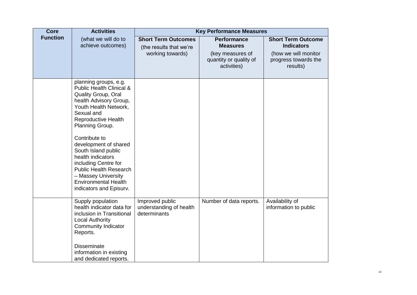| <b>Core</b>     | <b>Activities</b>                                                                                                                                                                                                                                                                                                                                                                                                                            | <b>Key Performance Measures</b>                                           |                                                                                                    |                                                                                                            |
|-----------------|----------------------------------------------------------------------------------------------------------------------------------------------------------------------------------------------------------------------------------------------------------------------------------------------------------------------------------------------------------------------------------------------------------------------------------------------|---------------------------------------------------------------------------|----------------------------------------------------------------------------------------------------|------------------------------------------------------------------------------------------------------------|
| <b>Function</b> | (what we will do to<br>achieve outcomes)                                                                                                                                                                                                                                                                                                                                                                                                     | <b>Short Term Outcomes</b><br>(the results that we're<br>working towards) | <b>Performance</b><br><b>Measures</b><br>(key measures of<br>quantity or quality of<br>activities) | <b>Short Term Outcome</b><br><b>Indicators</b><br>(how we will monitor<br>progress towards the<br>results) |
|                 | planning groups, e.g.<br><b>Public Health Clinical &amp;</b><br><b>Quality Group, Oral</b><br>health Advisory Group,<br>Youth Health Network,<br>Sexual and<br><b>Reproductive Health</b><br>Planning Group.<br>Contribute to<br>development of shared<br>South Island public<br>health indicators<br>including Centre for<br><b>Public Health Research</b><br>- Massey University<br><b>Environmental Health</b><br>indicators and Episurv. |                                                                           |                                                                                                    |                                                                                                            |
|                 | Supply population<br>health indicator data for<br>inclusion in Transitional<br><b>Local Authority</b><br><b>Community Indicator</b><br>Reports.<br><b>Disseminate</b><br>information in existing<br>and dedicated reports.                                                                                                                                                                                                                   | Improved public<br>understanding of health<br>determinants                | Number of data reports.                                                                            | Availability of<br>information to public                                                                   |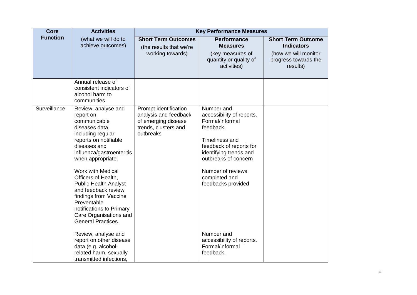| <b>Core</b>     | <b>Activities</b>                                                                                                                                                                                                                                                                                                                                                                                                       | <b>Key Performance Measures</b>                                                                            |                                                                                                                                                                                                                                    |                                                                                                            |
|-----------------|-------------------------------------------------------------------------------------------------------------------------------------------------------------------------------------------------------------------------------------------------------------------------------------------------------------------------------------------------------------------------------------------------------------------------|------------------------------------------------------------------------------------------------------------|------------------------------------------------------------------------------------------------------------------------------------------------------------------------------------------------------------------------------------|------------------------------------------------------------------------------------------------------------|
| <b>Function</b> | (what we will do to<br>achieve outcomes)                                                                                                                                                                                                                                                                                                                                                                                | <b>Short Term Outcomes</b><br>(the results that we're<br>working towards)                                  | <b>Performance</b><br><b>Measures</b><br>(key measures of<br>quantity or quality of<br>activities)                                                                                                                                 | <b>Short Term Outcome</b><br><b>Indicators</b><br>(how we will monitor<br>progress towards the<br>results) |
|                 | Annual release of<br>consistent indicators of<br>alcohol harm to<br>communities.                                                                                                                                                                                                                                                                                                                                        |                                                                                                            |                                                                                                                                                                                                                                    |                                                                                                            |
| Surveillance    | Review, analyse and<br>report on<br>communicable<br>diseases data,<br>including regular<br>reports on notifiable<br>diseases and<br>influenza/gastroenteritis<br>when appropriate.<br><b>Work with Medical</b><br>Officers of Health,<br><b>Public Health Analyst</b><br>and feedback review<br>findings from Vaccine<br>Preventable<br>notifications to Primary<br>Care Organisations and<br><b>General Practices.</b> | Prompt identification<br>analysis and feedback<br>of emerging disease<br>trends, clusters and<br>outbreaks | Number and<br>accessibility of reports.<br>Formal/informal<br>feedback.<br>Timeliness and<br>feedback of reports for<br>identifying trends and<br>outbreaks of concern<br>Number of reviews<br>completed and<br>feedbacks provided |                                                                                                            |
|                 | Review, analyse and<br>report on other disease<br>data (e.g. alcohol-<br>related harm, sexually<br>transmitted infections,                                                                                                                                                                                                                                                                                              |                                                                                                            | Number and<br>accessibility of reports.<br>Formal/informal<br>feedback.                                                                                                                                                            |                                                                                                            |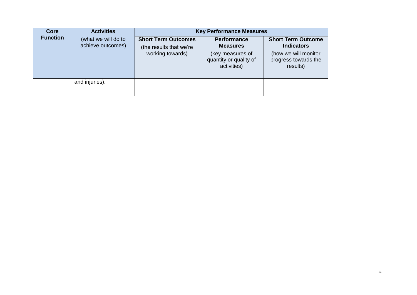| <b>Core</b>     | <b>Activities</b>                        | <b>Key Performance Measures</b>                                           |                                                                                                    |                                                                                                            |  |
|-----------------|------------------------------------------|---------------------------------------------------------------------------|----------------------------------------------------------------------------------------------------|------------------------------------------------------------------------------------------------------------|--|
| <b>Function</b> | (what we will do to<br>achieve outcomes) | <b>Short Term Outcomes</b><br>(the results that we're<br>working towards) | <b>Performance</b><br><b>Measures</b><br>(key measures of<br>quantity or quality of<br>activities) | <b>Short Term Outcome</b><br><b>Indicators</b><br>(how we will monitor<br>progress towards the<br>results) |  |
|                 | and injuries).                           |                                                                           |                                                                                                    |                                                                                                            |  |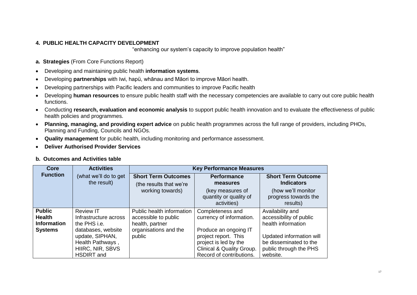# **4. PUBLIC HEALTH CAPACITY DEVELOPMENT**

"enhancing our system's capacity to improve population health"

- **a. Strategies** (From Core Functions Report)
- Developing and maintaining public health **information systems**.
- Developing **partnerships** with Iwi, hapü, whānau and Māori to improve Māori health.
- Developing partnerships with Pacific leaders and communities to improve Pacific health
- Developing **human resources** to ensure public health staff with the necessary competencies are available to carry out core public health functions.
- Conducting **research, evaluation and economic analysis** to support public health innovation and to evaluate the effectiveness of public health policies and programmes.
- **Planning, managing, and providing expert advice** on public health programmes across the full range of providers, including PHOs, Planning and Funding, Councils and NGOs.
- **Quality management** for public health, including monitoring and performance assessment.
- **Deliver Authorised Provider Services**

#### <span id="page-16-0"></span>**b. Outcomes and Activities table**

<span id="page-16-2"></span><span id="page-16-1"></span>

| Core                                                 | <b>Activities</b>                                                                                  | <b>Key Performance Measures</b>                                      |                                                                                                                                 |                                                                                          |  |
|------------------------------------------------------|----------------------------------------------------------------------------------------------------|----------------------------------------------------------------------|---------------------------------------------------------------------------------------------------------------------------------|------------------------------------------------------------------------------------------|--|
| <b>Function</b>                                      | (what we'll do to get<br>the result)                                                               | <b>Short Term Outcomes</b><br>(the results that we're                | <b>Performance</b><br>measures                                                                                                  | <b>Short Term Outcome</b><br><b>Indicators</b>                                           |  |
|                                                      |                                                                                                    | working towards)                                                     | (key measures of<br>quantity or quality of<br>activities)                                                                       | (how we'll monitor<br>progress towards the<br>results)                                   |  |
| <b>Public</b><br><b>Health</b><br><b>Information</b> | <b>Review IT</b><br>Infrastructure across<br>the PHS i.e.                                          | Public health information<br>accessible to public<br>health, partner | Completeness and<br>currency of information.                                                                                    | Availability and<br>accessibility of public<br>health information                        |  |
| <b>Systems</b>                                       | databases, website<br>update, SIPHAN,<br>Health Pathways,<br>HIIRC, NIR, SBVS<br><b>HSDIRT</b> and | organisations and the<br>public                                      | Produce an ongoing IT<br>project report. This<br>project is led by the<br>Clinical & Quality Group.<br>Record of contributions. | Updated information will<br>be disseminated to the<br>public through the PHS<br>website. |  |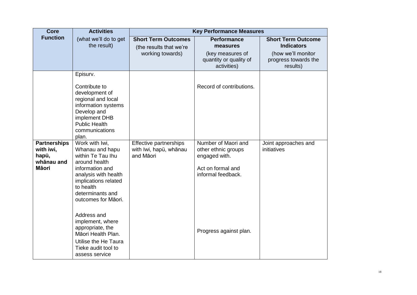| <b>Core</b>                                                             | <b>Activities</b>                                                                                                                                                                                                                                                                                                              | <b>Key Performance Measures</b>                               |                                                                                                           |                                                        |  |
|-------------------------------------------------------------------------|--------------------------------------------------------------------------------------------------------------------------------------------------------------------------------------------------------------------------------------------------------------------------------------------------------------------------------|---------------------------------------------------------------|-----------------------------------------------------------------------------------------------------------|--------------------------------------------------------|--|
| <b>Function</b>                                                         | (what we'll do to get<br>the result)                                                                                                                                                                                                                                                                                           | <b>Short Term Outcomes</b><br>(the results that we're         | <b>Performance</b><br>measures                                                                            | <b>Short Term Outcome</b><br><b>Indicators</b>         |  |
|                                                                         |                                                                                                                                                                                                                                                                                                                                | working towards)                                              | (key measures of<br>quantity or quality of<br>activities)                                                 | (how we'll monitor<br>progress towards the<br>results) |  |
|                                                                         | Episurv.<br>Contribute to<br>development of<br>regional and local<br>information systems<br>Develop and<br>implement DHB<br><b>Public Health</b><br>communications<br>plan.<br>Work with Iwi,                                                                                                                                  |                                                               | Record of contributions.<br>Number of Maori and                                                           |                                                        |  |
| <b>Partnerships</b><br>with iwi,<br>hapü,<br>whānau and<br><b>Māori</b> | Whanau and hapu<br>within Te Tau Ihu<br>around health<br>information and<br>analysis with health<br>implications related<br>to health<br>determinants and<br>outcomes for Māori.<br>Address and<br>implement, where<br>appropriate, the<br>Māori Health Plan.<br>Utilise the He Taura<br>Tieke audit tool to<br>assess service | Effective partnerships<br>with Iwi, hapü, whānau<br>and Māori | other ethnic groups<br>engaged with.<br>Act on formal and<br>informal feedback.<br>Progress against plan. | Joint approaches and<br>initiatives                    |  |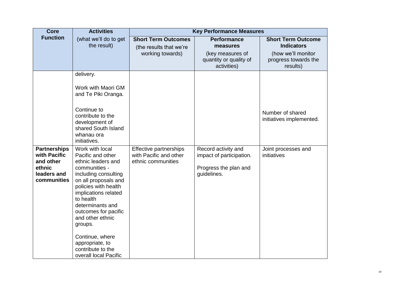| <b>Core</b>                                                                              | <b>Activities</b>                                                                                                                                                                                                                                                                                                                                       | <b>Key Performance Measures</b>                                           |                                                                                             |                                                                                                          |  |
|------------------------------------------------------------------------------------------|---------------------------------------------------------------------------------------------------------------------------------------------------------------------------------------------------------------------------------------------------------------------------------------------------------------------------------------------------------|---------------------------------------------------------------------------|---------------------------------------------------------------------------------------------|----------------------------------------------------------------------------------------------------------|--|
| <b>Function</b>                                                                          | (what we'll do to get<br>the result)                                                                                                                                                                                                                                                                                                                    | <b>Short Term Outcomes</b><br>(the results that we're<br>working towards) | <b>Performance</b><br>measures<br>(key measures of<br>quantity or quality of<br>activities) | <b>Short Term Outcome</b><br><b>Indicators</b><br>(how we'll monitor<br>progress towards the<br>results) |  |
|                                                                                          | delivery.<br>Work with Maori GM<br>and Te Piki Oranga.<br>Continue to<br>contribute to the<br>development of<br>shared South Island<br>whanau ora<br>initiatives.                                                                                                                                                                                       |                                                                           |                                                                                             | Number of shared<br>initiatives implemented.                                                             |  |
| <b>Partnerships</b><br>with Pacific<br>and other<br>ethnic<br>leaders and<br>communities | Work with local<br>Pacific and other<br>ethnic leaders and<br>communities -<br>including consulting<br>on all proposals and<br>policies with health<br>implications related<br>to health<br>determinants and<br>outcomes for pacific<br>and other ethnic<br>groups.<br>Continue, where<br>appropriate, to<br>contribute to the<br>overall local Pacific | Effective partnerships<br>with Pacific and other<br>ethnic communities    | Record activity and<br>impact of participation.<br>Progress the plan and<br>guidelines.     | Joint processes and<br>initiatives                                                                       |  |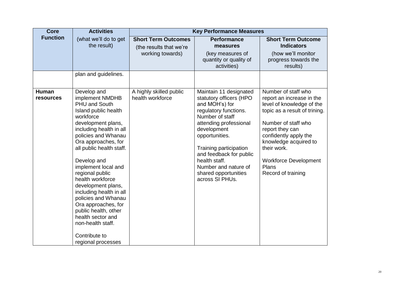| <b>Core</b>        | <b>Activities</b>                                                                                                                                                                                                                                                                                                                                                                                                                                                                                    | <b>Key Performance Measures</b>                                           |                                                                                                                                                                                                                                                                                                                     |                                                                                                                                                                                                                                                                                          |  |
|--------------------|------------------------------------------------------------------------------------------------------------------------------------------------------------------------------------------------------------------------------------------------------------------------------------------------------------------------------------------------------------------------------------------------------------------------------------------------------------------------------------------------------|---------------------------------------------------------------------------|---------------------------------------------------------------------------------------------------------------------------------------------------------------------------------------------------------------------------------------------------------------------------------------------------------------------|------------------------------------------------------------------------------------------------------------------------------------------------------------------------------------------------------------------------------------------------------------------------------------------|--|
| <b>Function</b>    | (what we'll do to get<br>the result)                                                                                                                                                                                                                                                                                                                                                                                                                                                                 | <b>Short Term Outcomes</b><br>(the results that we're<br>working towards) | <b>Performance</b><br>measures<br>(key measures of<br>quantity or quality of<br>activities)                                                                                                                                                                                                                         | <b>Short Term Outcome</b><br><b>Indicators</b><br>(how we'll monitor<br>progress towards the<br>results)                                                                                                                                                                                 |  |
|                    | plan and guidelines.                                                                                                                                                                                                                                                                                                                                                                                                                                                                                 |                                                                           |                                                                                                                                                                                                                                                                                                                     |                                                                                                                                                                                                                                                                                          |  |
| Human<br>resources | Develop and<br>implement NMDHB<br>PHU and South<br>Island public health<br>workforce<br>development plans,<br>including health in all<br>policies and Whanau<br>Ora approaches, for<br>all public health staff.<br>Develop and<br>implement local and<br>regional public<br>health workforce<br>development plans,<br>including health in all<br>policies and Whanau<br>Ora approaches, for<br>public health, other<br>health sector and<br>non-health staff.<br>Contribute to<br>regional processes | A highly skilled public<br>health workforce                               | Maintain 11 designated<br>statutory officers (HPO<br>and MOH's) for<br>regulatory functions.<br>Number of staff<br>attending professional<br>development<br>opportunities.<br>Training participation<br>and feedback for public<br>health staff.<br>Number and nature of<br>shared opportunities<br>across SI PHUs. | Number of staff who<br>report an increase in the<br>level of knowledge of the<br>topic as a result of trining.<br>Number of staff who<br>report they can<br>confidently apply the<br>knowledge acquired to<br>their work.<br><b>Workforce Development</b><br>Plans<br>Record of training |  |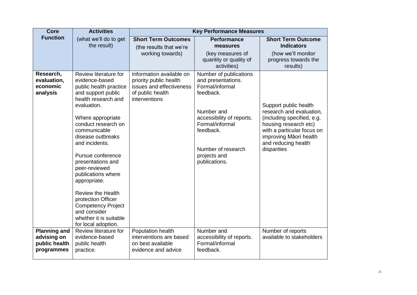| <b>Core</b>                                                       | <b>Activities</b>                                                                                                                                                                                                                                                                                                                                                                                                                                                          |                                                                                                                     | <b>Key Performance Measures</b>                                                                                                                                                                                |                                                                                                                                                                                                        |
|-------------------------------------------------------------------|----------------------------------------------------------------------------------------------------------------------------------------------------------------------------------------------------------------------------------------------------------------------------------------------------------------------------------------------------------------------------------------------------------------------------------------------------------------------------|---------------------------------------------------------------------------------------------------------------------|----------------------------------------------------------------------------------------------------------------------------------------------------------------------------------------------------------------|--------------------------------------------------------------------------------------------------------------------------------------------------------------------------------------------------------|
| <b>Function</b>                                                   | (what we'll do to get<br>the result)                                                                                                                                                                                                                                                                                                                                                                                                                                       | <b>Short Term Outcomes</b><br>(the results that we're                                                               | <b>Performance</b><br>measures                                                                                                                                                                                 | <b>Short Term Outcome</b><br><b>Indicators</b>                                                                                                                                                         |
|                                                                   |                                                                                                                                                                                                                                                                                                                                                                                                                                                                            | working towards)                                                                                                    | (key measures of<br>quantity or quality of<br>activities)                                                                                                                                                      | (how we'll monitor<br>progress towards the<br>results)                                                                                                                                                 |
| Research,<br>evaluation,<br>economic<br>analysis                  | Review literature for<br>evidence-based<br>public health practice<br>and support public<br>health research and<br>evaluation.<br>Where appropriate<br>conduct research on<br>communicable<br>disease outbreaks<br>and incidents.<br>Pursue conference<br>presentations and<br>peer-reviewed<br>publications where<br>appropriate.<br>Review the Health<br>protection Officer<br><b>Competency Project</b><br>and consider<br>whether it is suitable<br>for local adoption. | Information available on<br>priority public health<br>issues and effectiveness<br>of public health<br>interventions | Number of publications<br>and presentations.<br>Formal/informal<br>feedback.<br>Number and<br>accessibility of reports.<br>Formal/informal<br>feedback.<br>Number of research<br>projects and<br>publications. | Support public health<br>research and evaluation,<br>(including specified, e.g.<br>housing research etc)<br>with a particular focus on<br>improving Māori health<br>and reducing health<br>disparities |
| <b>Planning and</b><br>advising on<br>public health<br>programmes | Review literature for<br>evidence-based<br>public health<br>practice.                                                                                                                                                                                                                                                                                                                                                                                                      | Population health<br>interventions are based<br>on best available<br>evidence and advice                            | Number and<br>accessibility of reports.<br>Formal/informal<br>feedback.                                                                                                                                        | Number of reports<br>available to stakeholders                                                                                                                                                         |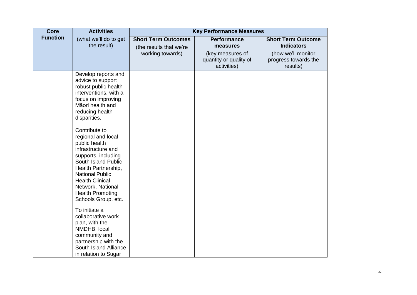| <b>Core</b>     | <b>Activities</b>                                                                                                                                                                                                                                                                                                                                                                                                                                                                                                                                                                               |                                                                           | <b>Key Performance Measures</b>                                                             |                                                                                                          |
|-----------------|-------------------------------------------------------------------------------------------------------------------------------------------------------------------------------------------------------------------------------------------------------------------------------------------------------------------------------------------------------------------------------------------------------------------------------------------------------------------------------------------------------------------------------------------------------------------------------------------------|---------------------------------------------------------------------------|---------------------------------------------------------------------------------------------|----------------------------------------------------------------------------------------------------------|
| <b>Function</b> | (what we'll do to get<br>the result)                                                                                                                                                                                                                                                                                                                                                                                                                                                                                                                                                            | <b>Short Term Outcomes</b><br>(the results that we're<br>working towards) | <b>Performance</b><br>measures<br>(key measures of<br>quantity or quality of<br>activities) | <b>Short Term Outcome</b><br><b>Indicators</b><br>(how we'll monitor<br>progress towards the<br>results) |
|                 | Develop reports and<br>advice to support<br>robust public health<br>interventions, with a<br>focus on improving<br>Māori health and<br>reducing health<br>disparities.<br>Contribute to<br>regional and local<br>public health<br>infrastructure and<br>supports, including<br>South Island Public<br>Health Partnership,<br><b>National Public</b><br><b>Health Clinical</b><br>Network, National<br><b>Health Promoting</b><br>Schools Group, etc.<br>To initiate a<br>collaborative work<br>plan, with the<br>NMDHB, local<br>community and<br>partnership with the<br>South Island Alliance |                                                                           |                                                                                             |                                                                                                          |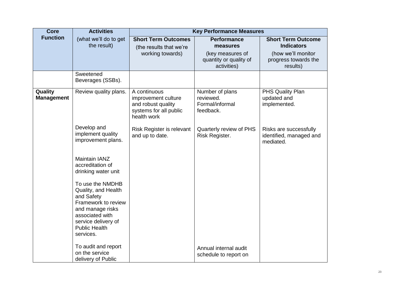| <b>Core</b>                  | <b>Activities</b>                                                                                                                                                               |                                                                                                    | <b>Key Performance Measures</b>                              |                                                                |
|------------------------------|---------------------------------------------------------------------------------------------------------------------------------------------------------------------------------|----------------------------------------------------------------------------------------------------|--------------------------------------------------------------|----------------------------------------------------------------|
| <b>Function</b>              | (what we'll do to get<br>the result)                                                                                                                                            | <b>Short Term Outcomes</b><br>(the results that we're                                              | <b>Performance</b><br>measures                               | <b>Short Term Outcome</b><br><b>Indicators</b>                 |
|                              |                                                                                                                                                                                 | working towards)                                                                                   | (key measures of<br>quantity or quality of<br>activities)    | (how we'll monitor<br>progress towards the<br>results)         |
|                              | Sweetened<br>Beverages (SSBs).                                                                                                                                                  |                                                                                                    |                                                              |                                                                |
| Quality<br><b>Management</b> | Review quality plans.                                                                                                                                                           | A continuous<br>improvement culture<br>and robust quality<br>systems for all public<br>health work | Number of plans<br>reviewed.<br>Formal/informal<br>feedback. | PHS Quality Plan<br>updated and<br>implemented.                |
|                              | Develop and<br>implement quality<br>improvement plans.                                                                                                                          | Risk Register is relevant<br>and up to date.                                                       | Quarterly review of PHS<br>Risk Register.                    | Risks are successfully<br>identified, managed and<br>mediated. |
|                              | <b>Maintain IANZ</b><br>accreditation of<br>drinking water unit                                                                                                                 |                                                                                                    |                                                              |                                                                |
|                              | To use the NMDHB<br>Quality, and Health<br>and Safety<br>Framework to review<br>and manage risks<br>associated with<br>service delivery of<br><b>Public Health</b><br>services. |                                                                                                    |                                                              |                                                                |
|                              | To audit and report<br>on the service<br>delivery of Public                                                                                                                     |                                                                                                    | Annual internal audit<br>schedule to report on               |                                                                |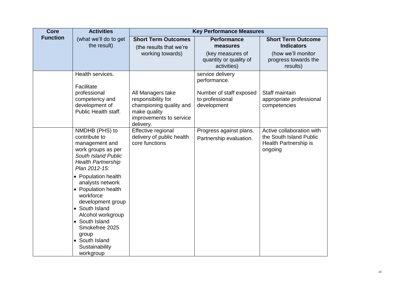| <b>Core</b>     | <b>Activities</b>                                                                                                                                                                                                                     |                                                                                                                            | <b>Key Performance Measures</b>                           |                                                                                          |
|-----------------|---------------------------------------------------------------------------------------------------------------------------------------------------------------------------------------------------------------------------------------|----------------------------------------------------------------------------------------------------------------------------|-----------------------------------------------------------|------------------------------------------------------------------------------------------|
| <b>Function</b> | (what we'll do to get<br>the result)                                                                                                                                                                                                  | <b>Short Term Outcomes</b><br>(the results that we're                                                                      | <b>Performance</b><br>measures                            | <b>Short Term Outcome</b><br><b>Indicators</b>                                           |
|                 |                                                                                                                                                                                                                                       | working towards)                                                                                                           | (key measures of<br>quantity or quality of<br>activities) | (how we'll monitor<br>progress towards the<br>results)                                   |
|                 | Health services.<br>Facilitate                                                                                                                                                                                                        |                                                                                                                            | service delivery<br>performance.                          |                                                                                          |
|                 | professional<br>competency and<br>development of<br>Public Health staff.                                                                                                                                                              | All Managers take<br>responsibility for<br>championing quality and<br>make quality<br>improvements to service<br>delivery. | Number of staff exposed<br>to professional<br>development | Staff maintain<br>appropriate professional<br>competencies                               |
|                 | NMDHB (PHS) to<br>contribute to<br>management and<br>work groups as per<br>South Island Public<br><b>Health Partnership</b><br>Plan 2012-15:                                                                                          | Effective regional<br>delivery of public health<br>core functions                                                          | Progress against plans.<br>Partnership evaluation.        | Active collaboration with<br>the South Island Public<br>Health Partnership is<br>ongoing |
|                 | • Population health<br>analysts network<br>• Population health<br>workforce<br>development group<br>• South Island<br>Alcohol workgroup<br>• South Island<br>Smokefree 2025<br>group<br>• South Island<br>Sustainability<br>workgroup |                                                                                                                            |                                                           |                                                                                          |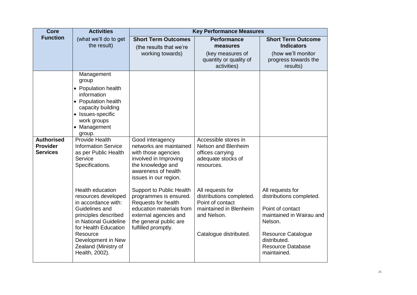| <b>Core</b>                                             | <b>Activities</b>                                                                                                                                                                                                                                                                |                                                                                                                                                                                        | <b>Key Performance Measures</b>                                                                                                     |                                                                                                                                                                                          |
|---------------------------------------------------------|----------------------------------------------------------------------------------------------------------------------------------------------------------------------------------------------------------------------------------------------------------------------------------|----------------------------------------------------------------------------------------------------------------------------------------------------------------------------------------|-------------------------------------------------------------------------------------------------------------------------------------|------------------------------------------------------------------------------------------------------------------------------------------------------------------------------------------|
| <b>Function</b>                                         | (what we'll do to get<br>the result)                                                                                                                                                                                                                                             | <b>Short Term Outcomes</b><br>(the results that we're<br>working towards)                                                                                                              | <b>Performance</b><br>measures<br>(key measures of<br>quantity or quality of<br>activities)                                         | <b>Short Term Outcome</b><br><b>Indicators</b><br>(how we'll monitor<br>progress towards the<br>results)                                                                                 |
| <b>Authorised</b><br><b>Provider</b><br><b>Services</b> | Management<br>group<br>• Population health<br>information<br>• Population health<br>capacity building<br>• Issues-specific<br>work groups<br>• Management<br>group.<br><b>Provide Health</b><br><b>Information Service</b><br>as per Public Health<br>Service<br>Specifications. | Good interagency<br>networks are maintained<br>with those agencies<br>involved in Improving<br>the knowledge and<br>awareness of health<br>issues in our region.                       | Accessible stores in<br>Nelson and Blenheim<br>offices carrying<br>adequate stocks of<br>resources.                                 |                                                                                                                                                                                          |
|                                                         | <b>Health education</b><br>resources developed<br>in accordance with:<br>Guidelines and<br>principles described<br>in National Guideline<br>for Health Education<br>Resource<br>Development in New<br>Zealand (Ministry of<br>Health, 2002).                                     | <b>Support to Public Health</b><br>programmes is ensured.<br>Requests for health<br>education materials from<br>external agencies and<br>the general public are<br>fulfilled promptly. | All requests for<br>distributions completed.<br>Point of contact<br>maintained in Blenheim<br>and Nelson.<br>Catalogue distributed. | All requests for<br>distributions completed.<br>Point of contact<br>maintained in Wairau and<br>Nelson.<br>Resource Catalogue<br>distributed.<br><b>Resource Database</b><br>maintained. |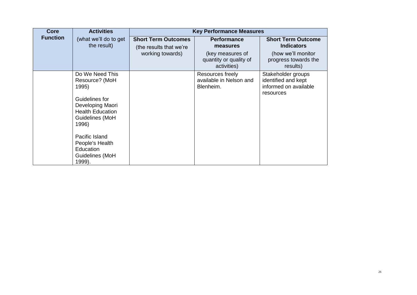| Core            | <b>Activities</b>                                                                                                                                                                                                      |                                                                           | <b>Key Performance Measures</b>                                              |                                                                                              |
|-----------------|------------------------------------------------------------------------------------------------------------------------------------------------------------------------------------------------------------------------|---------------------------------------------------------------------------|------------------------------------------------------------------------------|----------------------------------------------------------------------------------------------|
| <b>Function</b> | (what we'll do to get<br>the result)                                                                                                                                                                                   | <b>Short Term Outcomes</b><br>(the results that we're<br>working towards) | <b>Performance</b><br>measures<br>(key measures of<br>quantity or quality of | <b>Short Term Outcome</b><br><b>Indicators</b><br>(how we'll monitor<br>progress towards the |
|                 |                                                                                                                                                                                                                        |                                                                           | activities)                                                                  | results)                                                                                     |
|                 | Do We Need This<br>Resource? (MoH<br>1995)<br>Guidelines for<br>Developing Maori<br><b>Health Education</b><br>Guidelines (MoH<br>1996)<br>Pacific Island<br>People's Health<br>Education<br>Guidelines (MoH<br>1999). |                                                                           | Resources freely<br>available in Nelson and<br>Blenheim.                     | Stakeholder groups<br>identified and kept<br>informed on available<br>resources              |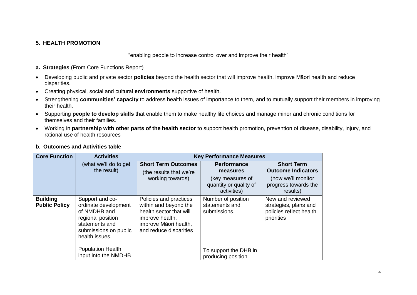### **5. HEALTH PROMOTION**

"enabling people to increase control over and improve their health"

#### **a. Strategies** (From Core Functions Report)

- Developing public and private sector **policies** beyond the health sector that will improve health, improve Māori health and reduce disparities.
- Creating physical, social and cultural **environments** supportive of health.
- Strengthening **communities' capacity** to address health issues of importance to them, and to mutually support their members in improving their health.
- Supporting **people to develop skills** that enable them to make healthy life choices and manage minor and chronic conditions for themselves and their families.
- Working in **partnership with other parts of the health sector** to support health promotion, prevention of disease, disability, injury, and rational use of health resources

<span id="page-26-2"></span><span id="page-26-1"></span><span id="page-26-0"></span>

| <b>Core Function</b>                    | <b>Activities</b>                                                                                                                         | <b>Key Performance Measures</b>                                                                                                                  |                                                                                             |                                                                                                          |
|-----------------------------------------|-------------------------------------------------------------------------------------------------------------------------------------------|--------------------------------------------------------------------------------------------------------------------------------------------------|---------------------------------------------------------------------------------------------|----------------------------------------------------------------------------------------------------------|
|                                         | (what we'll do to get<br>the result)                                                                                                      | <b>Short Term Outcomes</b><br>(the results that we're<br>working towards)                                                                        | <b>Performance</b><br>measures<br>(key measures of<br>quantity or quality of<br>activities) | <b>Short Term</b><br><b>Outcome Indicators</b><br>(how we'll monitor<br>progress towards the<br>results) |
| <b>Building</b><br><b>Public Policy</b> | Support and co-<br>ordinate development<br>of NMDHB and<br>regional position<br>statements and<br>submissions on public<br>health issues. | Policies and practices<br>within and beyond the<br>health sector that will<br>improve health,<br>improve Māori health,<br>and reduce disparities | Number of position<br>statements and<br>submissions.                                        | New and reviewed<br>strategies, plans and<br>policies reflect health<br>priorities                       |
|                                         | <b>Population Health</b><br>input into the NMDHB                                                                                          |                                                                                                                                                  | To support the DHB in<br>producing position                                                 |                                                                                                          |

#### **b. Outcomes and Activities table**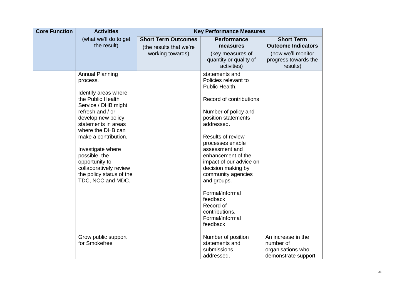| <b>Core Function</b> | <b>Activities</b>                                                                                                               |                                                       | <b>Key Performance Measures</b>                                                                                                                |                                                                             |
|----------------------|---------------------------------------------------------------------------------------------------------------------------------|-------------------------------------------------------|------------------------------------------------------------------------------------------------------------------------------------------------|-----------------------------------------------------------------------------|
|                      | (what we'll do to get<br>the result)                                                                                            | <b>Short Term Outcomes</b><br>(the results that we're | <b>Performance</b><br>measures                                                                                                                 | <b>Short Term</b><br><b>Outcome Indicators</b>                              |
|                      |                                                                                                                                 | working towards)                                      | (key measures of<br>quantity or quality of<br>activities)                                                                                      | (how we'll monitor<br>progress towards the<br>results)                      |
|                      | <b>Annual Planning</b><br>process.<br>Identify areas where<br>the Public Health<br>Service / DHB might                          |                                                       | statements and<br>Policies relevant to<br>Public Health.<br>Record of contributions                                                            |                                                                             |
|                      | refresh and / or<br>develop new policy<br>statements in areas<br>where the DHB can<br>make a contribution.                      |                                                       | Number of policy and<br>position statements<br>addressed.<br>Results of review                                                                 |                                                                             |
|                      | Investigate where<br>possible, the<br>opportunity to<br>collaboratively review<br>the policy status of the<br>TDC, NCC and MDC. |                                                       | processes enable<br>assessment and<br>enhancement of the<br>impact of our advice on<br>decision making by<br>community agencies<br>and groups. |                                                                             |
|                      |                                                                                                                                 |                                                       | Formal/informal<br>feedback<br>Record of<br>contributions.<br>Formal/informal<br>feedback.                                                     |                                                                             |
|                      | Grow public support<br>for Smokefree                                                                                            |                                                       | Number of position<br>statements and<br>submissions<br>addressed.                                                                              | An increase in the<br>number of<br>organisations who<br>demonstrate support |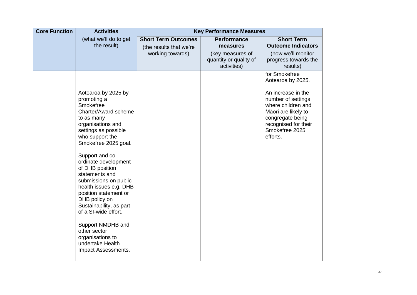| <b>Core Function</b> | <b>Activities</b>                                                                                                                                                                                                            |                                                       | <b>Key Performance Measures</b>                           |                                                                                                                     |
|----------------------|------------------------------------------------------------------------------------------------------------------------------------------------------------------------------------------------------------------------------|-------------------------------------------------------|-----------------------------------------------------------|---------------------------------------------------------------------------------------------------------------------|
|                      | (what we'll do to get<br>the result)                                                                                                                                                                                         | <b>Short Term Outcomes</b><br>(the results that we're | <b>Performance</b><br>measures                            | <b>Short Term</b><br><b>Outcome Indicators</b>                                                                      |
|                      |                                                                                                                                                                                                                              | working towards)                                      | (key measures of<br>quantity or quality of<br>activities) | (how we'll monitor<br>progress towards the<br>results)                                                              |
|                      | Aotearoa by 2025 by<br>promoting a                                                                                                                                                                                           |                                                       |                                                           | for Smokefree<br>Aotearoa by 2025.<br>An increase in the<br>number of settings                                      |
|                      | Smokefree<br>Charter/Award scheme<br>to as many<br>organisations and<br>settings as possible<br>who support the<br>Smokefree 2025 goal.                                                                                      |                                                       |                                                           | where children and<br>Māori are likely to<br>congregate being<br>recognised for their<br>Smokefree 2025<br>efforts. |
|                      | Support and co-<br>ordinate development<br>of DHB position<br>statements and<br>submissions on public<br>health issues e.g. DHB<br>position statement or<br>DHB policy on<br>Sustainability, as part<br>of a SI-wide effort. |                                                       |                                                           |                                                                                                                     |
|                      | Support NMDHB and<br>other sector<br>organisations to<br>undertake Health<br>Impact Assessments.                                                                                                                             |                                                       |                                                           |                                                                                                                     |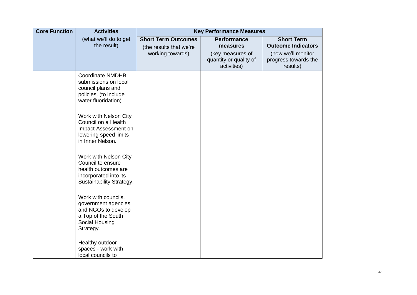| <b>Core Function</b> | <b>Activities</b>                                                                                                      |                                                                           | <b>Key Performance Measures</b>                                                             |                                                                                                          |
|----------------------|------------------------------------------------------------------------------------------------------------------------|---------------------------------------------------------------------------|---------------------------------------------------------------------------------------------|----------------------------------------------------------------------------------------------------------|
|                      | (what we'll do to get<br>the result)                                                                                   | <b>Short Term Outcomes</b><br>(the results that we're<br>working towards) | <b>Performance</b><br>measures<br>(key measures of<br>quantity or quality of<br>activities) | <b>Short Term</b><br><b>Outcome Indicators</b><br>(how we'll monitor<br>progress towards the<br>results) |
|                      | <b>Coordinate NMDHB</b><br>submissions on local<br>council plans and<br>policies. (to include<br>water fluoridation).  |                                                                           |                                                                                             |                                                                                                          |
|                      | Work with Nelson City<br>Council on a Health<br>Impact Assessment on<br>lowering speed limits<br>in Inner Nelson.      |                                                                           |                                                                                             |                                                                                                          |
|                      | Work with Nelson City<br>Council to ensure<br>health outcomes are<br>incorporated into its<br>Sustainability Strategy. |                                                                           |                                                                                             |                                                                                                          |
|                      | Work with councils,<br>government agencies<br>and NGOs to develop<br>a Top of the South<br>Social Housing<br>Strategy. |                                                                           |                                                                                             |                                                                                                          |
|                      | Healthy outdoor<br>spaces - work with<br>local councils to                                                             |                                                                           |                                                                                             |                                                                                                          |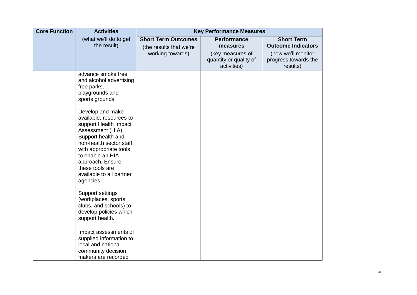| <b>Core Function</b> | <b>Activities</b>                                                                                                                                                                                                        |                                                                           | <b>Key Performance Measures</b>                    |                                                                      |
|----------------------|--------------------------------------------------------------------------------------------------------------------------------------------------------------------------------------------------------------------------|---------------------------------------------------------------------------|----------------------------------------------------|----------------------------------------------------------------------|
|                      | (what we'll do to get<br>the result)                                                                                                                                                                                     | <b>Short Term Outcomes</b><br>(the results that we're<br>working towards) | <b>Performance</b><br>measures<br>(key measures of | <b>Short Term</b><br><b>Outcome Indicators</b><br>(how we'll monitor |
|                      |                                                                                                                                                                                                                          |                                                                           | quantity or quality of<br>activities)              | progress towards the<br>results)                                     |
|                      | advance smoke free<br>and alcohol advertising<br>free parks,<br>playgrounds and<br>sports grounds.<br>Develop and make<br>available, resources to                                                                        |                                                                           |                                                    |                                                                      |
|                      | support Health Impact<br>Assessment (HIA)<br>Support health and<br>non-health sector staff<br>with appropriate tools<br>to enable an HIA<br>approach. Ensure<br>these tools are<br>available to all partner<br>agencies. |                                                                           |                                                    |                                                                      |
|                      | Support settings<br>(workplaces, sports<br>clubs, and schools) to<br>develop policies which<br>support health.                                                                                                           |                                                                           |                                                    |                                                                      |
|                      | Impact assessments of<br>supplied information to<br>local and national<br>community decision<br>makers are recorded                                                                                                      |                                                                           |                                                    |                                                                      |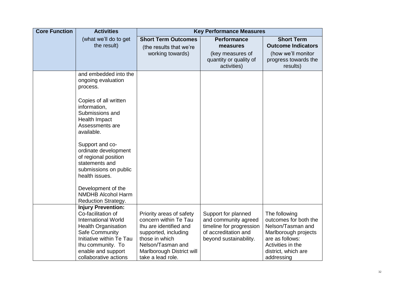| <b>Core Function</b> | <b>Activities</b>                                                                                                                                                                                                                    |                                                                                                                                                                                              | <b>Key Performance Measures</b>                                                                                           |                                                                                                                                                                  |
|----------------------|--------------------------------------------------------------------------------------------------------------------------------------------------------------------------------------------------------------------------------------|----------------------------------------------------------------------------------------------------------------------------------------------------------------------------------------------|---------------------------------------------------------------------------------------------------------------------------|------------------------------------------------------------------------------------------------------------------------------------------------------------------|
|                      | (what we'll do to get<br>the result)                                                                                                                                                                                                 | <b>Short Term Outcomes</b><br>(the results that we're<br>working towards)                                                                                                                    | <b>Performance</b><br>measures<br>(key measures of                                                                        | <b>Short Term</b><br><b>Outcome Indicators</b><br>(how we'll monitor                                                                                             |
|                      |                                                                                                                                                                                                                                      |                                                                                                                                                                                              | quantity or quality of<br>activities)                                                                                     | progress towards the<br>results)                                                                                                                                 |
|                      | and embedded into the<br>ongoing evaluation<br>process.                                                                                                                                                                              |                                                                                                                                                                                              |                                                                                                                           |                                                                                                                                                                  |
|                      | Copies of all written<br>information,<br>Submissions and<br>Health Impact<br>Assessments are<br>available.                                                                                                                           |                                                                                                                                                                                              |                                                                                                                           |                                                                                                                                                                  |
|                      | Support and co-<br>ordinate development<br>of regional position<br>statements and<br>submissions on public<br>health issues.                                                                                                         |                                                                                                                                                                                              |                                                                                                                           |                                                                                                                                                                  |
|                      | Development of the<br><b>NMDHB Alcohol Harm</b><br><b>Reduction Strategy.</b>                                                                                                                                                        |                                                                                                                                                                                              |                                                                                                                           |                                                                                                                                                                  |
|                      | <b>Injury Prevention:</b><br>Co-facilitation of<br><b>International World</b><br><b>Health Organisation</b><br><b>Safe Community</b><br>Initiative within Te Tau<br>Ihu community. To<br>enable and support<br>collaborative actions | Priority areas of safety<br>concern within Te Tau<br>Ihu are identified and<br>supported, including<br>those in which<br>Nelson/Tasman and<br>Marlborough District will<br>take a lead role. | Support for planned<br>and community agreed<br>timeline for progression<br>of accreditation and<br>beyond sustainability. | The following<br>outcomes for both the<br>Nelson/Tasman and<br>Marlborough projects<br>are as follows:<br>Activities in the<br>district, which are<br>addressing |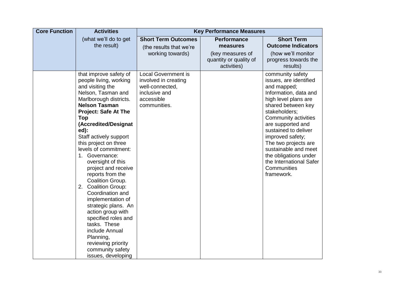| <b>Core Function</b> | <b>Activities</b>                                                                                                                                                                                                                                                                                                                                                                                                                                                                                                                                                                                                                                      | <b>Key Performance Measures</b>                                                                                      |                                                                                             |                                                                                                                                                                                                                                                                                                                                                                             |
|----------------------|--------------------------------------------------------------------------------------------------------------------------------------------------------------------------------------------------------------------------------------------------------------------------------------------------------------------------------------------------------------------------------------------------------------------------------------------------------------------------------------------------------------------------------------------------------------------------------------------------------------------------------------------------------|----------------------------------------------------------------------------------------------------------------------|---------------------------------------------------------------------------------------------|-----------------------------------------------------------------------------------------------------------------------------------------------------------------------------------------------------------------------------------------------------------------------------------------------------------------------------------------------------------------------------|
|                      | (what we'll do to get<br>the result)                                                                                                                                                                                                                                                                                                                                                                                                                                                                                                                                                                                                                   | <b>Short Term Outcomes</b><br>(the results that we're<br>working towards)                                            | <b>Performance</b><br>measures<br>(key measures of<br>quantity or quality of<br>activities) | <b>Short Term</b><br><b>Outcome Indicators</b><br>(how we'll monitor<br>progress towards the<br>results)                                                                                                                                                                                                                                                                    |
|                      | that improve safety of<br>people living, working<br>and visiting the<br>Nelson, Tasman and<br>Marlborough districts.<br><b>Nelson Tasman</b><br><b>Project: Safe At The</b><br>Top<br>(Accredited/Designat<br>ed):<br>Staff actively support<br>this project on three<br>levels of commitment:<br>1. Governance:<br>oversight of this<br>project and receive<br>reports from the<br>Coalition Group.<br>2. Coalition Group:<br>Coordination and<br>implementation of<br>strategic plans. An<br>action group with<br>specified roles and<br>tasks. These<br>include Annual<br>Planning,<br>reviewing priority<br>community safety<br>issues, developing | <b>Local Government is</b><br>involved in creating<br>well-connected,<br>inclusive and<br>accessible<br>communities. |                                                                                             | community safety<br>issues, are identified<br>and mapped;<br>Information, data and<br>high level plans are<br>shared between key<br>stakeholders;<br>Community activities<br>are supported and<br>sustained to deliver<br>improved safety;<br>The two projects are<br>sustainable and meet<br>the obligations under<br>the International Safer<br>Communities<br>framework. |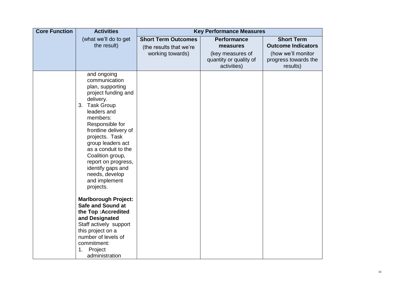| <b>Core Function</b> | <b>Activities</b>                                                                                                                                                                                                                                                                                                                                          | <b>Key Performance Measures</b>                                           |                                                                                             |                                                                                                          |
|----------------------|------------------------------------------------------------------------------------------------------------------------------------------------------------------------------------------------------------------------------------------------------------------------------------------------------------------------------------------------------------|---------------------------------------------------------------------------|---------------------------------------------------------------------------------------------|----------------------------------------------------------------------------------------------------------|
|                      | (what we'll do to get<br>the result)                                                                                                                                                                                                                                                                                                                       | <b>Short Term Outcomes</b><br>(the results that we're<br>working towards) | <b>Performance</b><br>measures<br>(key measures of<br>quantity or quality of<br>activities) | <b>Short Term</b><br><b>Outcome Indicators</b><br>(how we'll monitor<br>progress towards the<br>results) |
|                      | and ongoing<br>communication<br>plan, supporting<br>project funding and<br>delivery.<br>3. Task Group<br>leaders and<br>members:<br>Responsible for<br>frontline delivery of<br>projects. Task<br>group leaders act<br>as a conduit to the<br>Coalition group,<br>report on progress,<br>identify gaps and<br>needs, develop<br>and implement<br>projects. |                                                                           |                                                                                             |                                                                                                          |
|                      | <b>Marlborough Project:</b><br><b>Safe and Sound at</b><br>the Top : Accredited<br>and Designated<br>Staff actively support<br>this project on a<br>number of levels of<br>commitment:<br>1.<br>Project<br>administration                                                                                                                                  |                                                                           |                                                                                             |                                                                                                          |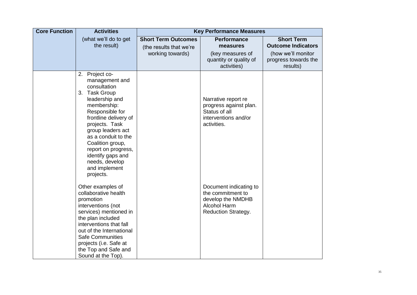| <b>Core Function</b> | <b>Activities</b>                                                                                                                                                                                                                                                                                                            | <b>Key Performance Measures</b>                                           |                                                                                                                |                                                                                                          |
|----------------------|------------------------------------------------------------------------------------------------------------------------------------------------------------------------------------------------------------------------------------------------------------------------------------------------------------------------------|---------------------------------------------------------------------------|----------------------------------------------------------------------------------------------------------------|----------------------------------------------------------------------------------------------------------|
|                      | (what we'll do to get<br>the result)                                                                                                                                                                                                                                                                                         | <b>Short Term Outcomes</b><br>(the results that we're<br>working towards) | <b>Performance</b><br>measures<br>(key measures of<br>quantity or quality of<br>activities)                    | <b>Short Term</b><br><b>Outcome Indicators</b><br>(how we'll monitor<br>progress towards the<br>results) |
|                      | 2. Project co-<br>management and<br>consultation<br>3. Task Group<br>leadership and<br>membership:<br>Responsible for<br>frontline delivery of<br>projects. Task<br>group leaders act<br>as a conduit to the<br>Coalition group,<br>report on progress,<br>identify gaps and<br>needs, develop<br>and implement<br>projects. |                                                                           | Narrative report re<br>progress against plan.<br>Status of all<br>interventions and/or<br>activities.          |                                                                                                          |
|                      | Other examples of<br>collaborative health<br>promotion<br>interventions (not<br>services) mentioned in<br>the plan included<br>interventions that fall<br>out of the International<br><b>Safe Communities</b><br>projects (i.e. Safe at<br>the Top and Safe and<br>Sound at the Top).                                        |                                                                           | Document indicating to<br>the commitment to<br>develop the NMDHB<br>Alcohol Harm<br><b>Reduction Strategy.</b> |                                                                                                          |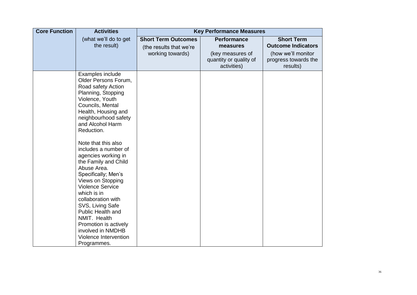| <b>Core Function</b> | <b>Activities</b>                                                                                                                                                                                                                                                                                                                                                                                                                                                                                                                                                             | <b>Key Performance Measures</b>                                           |                                                                                             |                                                                                                          |
|----------------------|-------------------------------------------------------------------------------------------------------------------------------------------------------------------------------------------------------------------------------------------------------------------------------------------------------------------------------------------------------------------------------------------------------------------------------------------------------------------------------------------------------------------------------------------------------------------------------|---------------------------------------------------------------------------|---------------------------------------------------------------------------------------------|----------------------------------------------------------------------------------------------------------|
|                      | (what we'll do to get<br>the result)                                                                                                                                                                                                                                                                                                                                                                                                                                                                                                                                          | <b>Short Term Outcomes</b><br>(the results that we're<br>working towards) | <b>Performance</b><br>measures<br>(key measures of<br>quantity or quality of<br>activities) | <b>Short Term</b><br><b>Outcome Indicators</b><br>(how we'll monitor<br>progress towards the<br>results) |
|                      | Examples include<br>Older Persons Forum,<br>Road safety Action<br>Planning, Stopping<br>Violence, Youth<br>Councils, Mental<br>Health, Housing and<br>neighbourhood safety<br>and Alcohol Harm<br>Reduction.<br>Note that this also<br>includes a number of<br>agencies working in<br>the Family and Child<br>Abuse Area.<br>Specifically; Men's<br>Views on Stopping<br>Violence Service<br>which is in<br>collaboration with<br>SVS, Living Safe<br>Public Health and<br>NMIT. Health<br>Promotion is actively<br>involved in NMDHB<br>Violence Intervention<br>Programmes. |                                                                           |                                                                                             |                                                                                                          |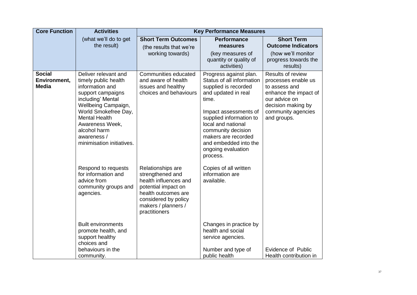| <b>Core Function</b>                          | <b>Activities</b>                                                                                                                                                                                                                                               |                                                                                                                                                                              | <b>Key Performance Measures</b>                                                                                                                                                                                                                                                               |                                                                                                                                                                |
|-----------------------------------------------|-----------------------------------------------------------------------------------------------------------------------------------------------------------------------------------------------------------------------------------------------------------------|------------------------------------------------------------------------------------------------------------------------------------------------------------------------------|-----------------------------------------------------------------------------------------------------------------------------------------------------------------------------------------------------------------------------------------------------------------------------------------------|----------------------------------------------------------------------------------------------------------------------------------------------------------------|
|                                               | (what we'll do to get<br>the result)                                                                                                                                                                                                                            | <b>Short Term Outcomes</b><br>(the results that we're                                                                                                                        | <b>Performance</b><br>measures                                                                                                                                                                                                                                                                | <b>Short Term</b><br><b>Outcome Indicators</b>                                                                                                                 |
|                                               |                                                                                                                                                                                                                                                                 | working towards)                                                                                                                                                             | (key measures of<br>quantity or quality of<br>activities)                                                                                                                                                                                                                                     | (how we'll monitor<br>progress towards the<br>results)                                                                                                         |
| <b>Social</b><br>Environment,<br><b>Media</b> | Deliver relevant and<br>timely public health<br>information and<br>support campaigns<br>including' Mental<br>Wellbeing Campaign,<br>World Smokefree Day,<br><b>Mental Health</b><br>Awareness Week,<br>alcohol harm<br>awareness /<br>minimisation initiatives. | Communities educated<br>and aware of health<br>issues and healthy<br>choices and behaviours                                                                                  | Progress against plan.<br>Status of all information<br>supplied is recorded<br>and updated in real<br>time.<br>Impact assessments of<br>supplied information to<br>local and national<br>community decision<br>makers are recorded<br>and embedded into the<br>ongoing evaluation<br>process. | Results of review<br>processes enable us<br>to assess and<br>enhance the impact of<br>our advice on<br>decision making by<br>community agencies<br>and groups. |
|                                               | Respond to requests<br>for information and<br>advice from<br>community groups and<br>agencies.<br><b>Built environments</b>                                                                                                                                     | Relationships are<br>strengthened and<br>health influences and<br>potential impact on<br>health outcomes are<br>considered by policy<br>makers / planners /<br>practitioners | Copies of all written<br>information are<br>available.<br>Changes in practice by                                                                                                                                                                                                              |                                                                                                                                                                |
|                                               | promote health, and<br>support healthy<br>choices and<br>behaviours in the<br>community.                                                                                                                                                                        |                                                                                                                                                                              | health and social<br>service agencies.<br>Number and type of<br>public health                                                                                                                                                                                                                 | Evidence of Public<br>Health contribution in                                                                                                                   |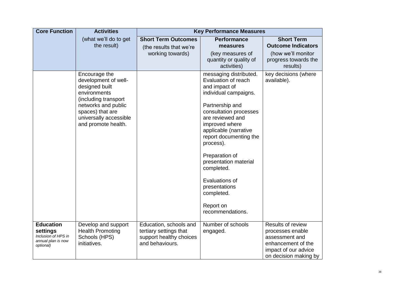| <b>Core Function</b>                                                                   | <b>Activities</b>                                                                                                                                                                           |                                                                                                | <b>Key Performance Measures</b>                                                                                                                                                                                                                                                                                                                                                       |                                                                                                                                |
|----------------------------------------------------------------------------------------|---------------------------------------------------------------------------------------------------------------------------------------------------------------------------------------------|------------------------------------------------------------------------------------------------|---------------------------------------------------------------------------------------------------------------------------------------------------------------------------------------------------------------------------------------------------------------------------------------------------------------------------------------------------------------------------------------|--------------------------------------------------------------------------------------------------------------------------------|
|                                                                                        | (what we'll do to get<br>the result)                                                                                                                                                        | <b>Short Term Outcomes</b><br>(the results that we're<br>working towards)                      | <b>Performance</b><br>measures<br>(key measures of<br>quantity or quality of<br>activities)                                                                                                                                                                                                                                                                                           | <b>Short Term</b><br><b>Outcome Indicators</b><br>(how we'll monitor<br>progress towards the<br>results)                       |
|                                                                                        | Encourage the<br>development of well-<br>designed built<br>environments<br>(including transport<br>networks and public<br>spaces) that are<br>universally accessible<br>and promote health. |                                                                                                | messaging distributed.<br>Evaluation of reach<br>and impact of<br>individual campaigns.<br>Partnership and<br>consultation processes<br>are reviewed and<br>improved where<br>applicable (narrative<br>report documenting the<br>process).<br>Preparation of<br>presentation material<br>completed.<br>Evaluations of<br>presentations<br>completed.<br>Report on<br>recommendations. | key decisions (where<br>available).                                                                                            |
| <b>Education</b><br>settings<br>Inclusion of HPS in<br>annual plan is now<br>optional) | Develop and support<br><b>Health Promoting</b><br>Schools (HPS)<br>initiatives.                                                                                                             | Education, schools and<br>tertiary settings that<br>support healthy choices<br>and behaviours. | Number of schools<br>engaged.                                                                                                                                                                                                                                                                                                                                                         | Results of review<br>processes enable<br>assessment and<br>enhancement of the<br>impact of our advice<br>on decision making by |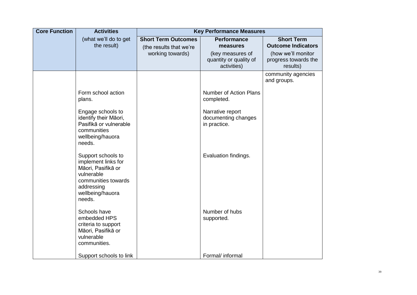| <b>Core Function</b> | <b>Activities</b>                                                                                                                                |                                                       | <b>Key Performance Measures</b>                           |                                                        |
|----------------------|--------------------------------------------------------------------------------------------------------------------------------------------------|-------------------------------------------------------|-----------------------------------------------------------|--------------------------------------------------------|
|                      | (what we'll do to get<br>the result)                                                                                                             | <b>Short Term Outcomes</b><br>(the results that we're | <b>Performance</b><br>measures                            | <b>Short Term</b><br><b>Outcome Indicators</b>         |
|                      |                                                                                                                                                  | working towards)                                      | (key measures of<br>quantity or quality of<br>activities) | (how we'll monitor<br>progress towards the<br>results) |
|                      |                                                                                                                                                  |                                                       |                                                           | community agencies<br>and groups.                      |
|                      | Form school action<br>plans.                                                                                                                     |                                                       | <b>Number of Action Plans</b><br>completed.               |                                                        |
|                      | Engage schools to<br>identify their Māori,<br>Pasifikā or vulnerable<br>communities<br>wellbeing/hauora<br>needs.                                |                                                       | Narrative report<br>documenting changes<br>in practice.   |                                                        |
|                      | Support schools to<br>implement links for<br>Māori, Pasifikā or<br>vulnerable<br>communities towards<br>addressing<br>wellbeing/hauora<br>needs. |                                                       | Evaluation findings.                                      |                                                        |
|                      | Schools have<br>embedded HPS<br>criteria to support<br>Māori, Pasifikā or<br>vulnerable<br>communities.                                          |                                                       | Number of hubs<br>supported.                              |                                                        |
|                      | Support schools to link                                                                                                                          |                                                       | Formal/ informal                                          |                                                        |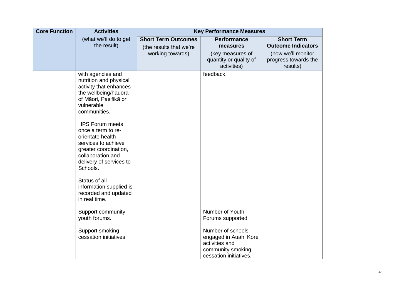| <b>Core Function</b> | <b>Activities</b>                                                                                                                                                                                                                                                                                                                                                                                                                                                                  |                                                                           | <b>Key Performance Measures</b>                                                             |                                                                                                          |
|----------------------|------------------------------------------------------------------------------------------------------------------------------------------------------------------------------------------------------------------------------------------------------------------------------------------------------------------------------------------------------------------------------------------------------------------------------------------------------------------------------------|---------------------------------------------------------------------------|---------------------------------------------------------------------------------------------|----------------------------------------------------------------------------------------------------------|
|                      | (what we'll do to get<br>the result)                                                                                                                                                                                                                                                                                                                                                                                                                                               | <b>Short Term Outcomes</b><br>(the results that we're<br>working towards) | <b>Performance</b><br>measures<br>(key measures of<br>quantity or quality of<br>activities) | <b>Short Term</b><br><b>Outcome Indicators</b><br>(how we'll monitor<br>progress towards the<br>results) |
|                      | with agencies and<br>nutrition and physical<br>activity that enhances<br>the wellbeing/hauora<br>of Māori, Pasifikā or<br>vulnerable<br>communities.<br><b>HPS Forum meets</b><br>once a term to re-<br>orientate health<br>services to achieve<br>greater coordination,<br>collaboration and<br>delivery of services to<br>Schools.<br>Status of all<br>information supplied is<br>recorded and updated<br>in real time.<br>Support community<br>youth forums.<br>Support smoking |                                                                           | feedback.<br>Number of Youth<br>Forums supported<br>Number of schools                       |                                                                                                          |
|                      | cessation initiatives.                                                                                                                                                                                                                                                                                                                                                                                                                                                             |                                                                           | engaged in Auahi Kore<br>activities and<br>community smoking<br>cessation initiatives.      |                                                                                                          |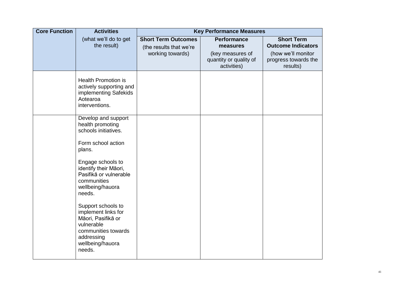| <b>Core Function</b> | <b>Activities</b>                                                                                                                                                                                                                                                                                                                                                        |                                                                           | <b>Key Performance Measures</b>                                                             |                                                                                                          |
|----------------------|--------------------------------------------------------------------------------------------------------------------------------------------------------------------------------------------------------------------------------------------------------------------------------------------------------------------------------------------------------------------------|---------------------------------------------------------------------------|---------------------------------------------------------------------------------------------|----------------------------------------------------------------------------------------------------------|
|                      | (what we'll do to get<br>the result)                                                                                                                                                                                                                                                                                                                                     | <b>Short Term Outcomes</b><br>(the results that we're<br>working towards) | <b>Performance</b><br>measures<br>(key measures of<br>quantity or quality of<br>activities) | <b>Short Term</b><br><b>Outcome Indicators</b><br>(how we'll monitor<br>progress towards the<br>results) |
|                      | <b>Health Promotion is</b><br>actively supporting and<br>implementing Safekids<br>Aotearoa<br>interventions.                                                                                                                                                                                                                                                             |                                                                           |                                                                                             |                                                                                                          |
|                      | Develop and support<br>health promoting<br>schools initiatives.<br>Form school action<br>plans.<br>Engage schools to<br>identify their Māori,<br>Pasifikā or vulnerable<br>communities<br>wellbeing/hauora<br>needs.<br>Support schools to<br>implement links for<br>Māori, Pasifikā or<br>vulnerable<br>communities towards<br>addressing<br>wellbeing/hauora<br>needs. |                                                                           |                                                                                             |                                                                                                          |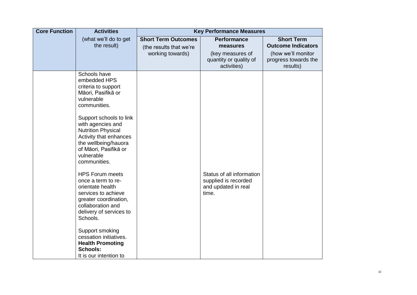| <b>Core Function</b> | <b>Activities</b>                                                                                                                                                                                                                                                                                                                                                                                                                                                                                                                                                                                  |                                                                           | <b>Key Performance Measures</b>                                                             |                                                                                                          |
|----------------------|----------------------------------------------------------------------------------------------------------------------------------------------------------------------------------------------------------------------------------------------------------------------------------------------------------------------------------------------------------------------------------------------------------------------------------------------------------------------------------------------------------------------------------------------------------------------------------------------------|---------------------------------------------------------------------------|---------------------------------------------------------------------------------------------|----------------------------------------------------------------------------------------------------------|
|                      | (what we'll do to get<br>the result)                                                                                                                                                                                                                                                                                                                                                                                                                                                                                                                                                               | <b>Short Term Outcomes</b><br>(the results that we're<br>working towards) | <b>Performance</b><br>measures<br>(key measures of<br>quantity or quality of<br>activities) | <b>Short Term</b><br><b>Outcome Indicators</b><br>(how we'll monitor<br>progress towards the<br>results) |
|                      | Schools have<br>embedded HPS<br>criteria to support<br>Māori, Pasifikā or<br>vulnerable<br>communities.<br>Support schools to link<br>with agencies and<br><b>Nutrition Physical</b><br>Activity that enhances<br>the wellbeing/hauora<br>of Māori, Pasifikā or<br>vulnerable<br>communities.<br><b>HPS Forum meets</b><br>once a term to re-<br>orientate health<br>services to achieve<br>greater coordination,<br>collaboration and<br>delivery of services to<br>Schools.<br>Support smoking<br>cessation initiatives.<br><b>Health Promoting</b><br><b>Schools:</b><br>It is our intention to |                                                                           | Status of all information<br>supplied is recorded<br>and updated in real<br>time.           |                                                                                                          |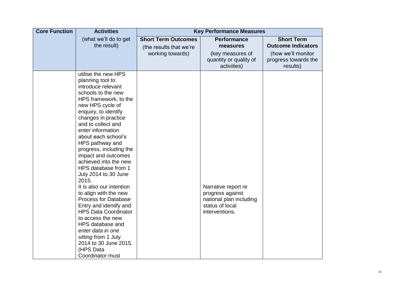| <b>Core Function</b> | <b>Activities</b>                                                                                                                                                                                                                                                                                                                                                                                                                                                                                                                                                                                                                                                                                   |                                                       | <b>Key Performance Measures</b>                                                                         |                                                        |
|----------------------|-----------------------------------------------------------------------------------------------------------------------------------------------------------------------------------------------------------------------------------------------------------------------------------------------------------------------------------------------------------------------------------------------------------------------------------------------------------------------------------------------------------------------------------------------------------------------------------------------------------------------------------------------------------------------------------------------------|-------------------------------------------------------|---------------------------------------------------------------------------------------------------------|--------------------------------------------------------|
|                      | (what we'll do to get<br>the result)                                                                                                                                                                                                                                                                                                                                                                                                                                                                                                                                                                                                                                                                | <b>Short Term Outcomes</b><br>(the results that we're | <b>Performance</b><br>measures                                                                          | <b>Short Term</b><br><b>Outcome Indicators</b>         |
|                      |                                                                                                                                                                                                                                                                                                                                                                                                                                                                                                                                                                                                                                                                                                     | working towards)                                      | (key measures of<br>quantity or quality of<br>activities)                                               | (how we'll monitor<br>progress towards the<br>results) |
|                      | utilise the new HPS<br>planning tool to<br>introduce relevant<br>schools to the new<br>HPS framework, to the<br>new HPS cycle of<br>enquiry, to identify<br>changes in practice<br>and to collect and<br>enter information<br>about each school's<br>HPS pathway and<br>progress, including the<br>impact and outcomes<br>achieved into the new<br>HPS database from 1<br>July 2014 to 30 June<br>2015.<br>It is also our intention<br>to align with the new<br><b>Process for Database</b><br>Entry and identify and<br><b>HPS Data Coordinator</b><br>to access the new<br>HPS database and<br>enter data in one<br>sitting from 1 July<br>2014 to 30 June 2015.<br>(HPS Data<br>Coordinator must |                                                       | Narrative report re<br>progress against<br>national plan including<br>status of local<br>interventions. |                                                        |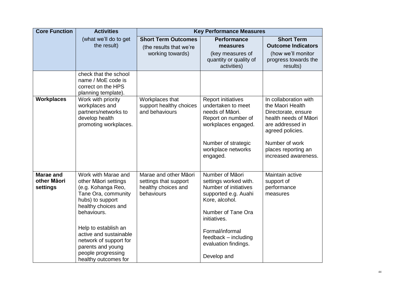| <b>Core Function</b>                        | <b>Activities</b>                                                                                                                                  |                                                                                     | <b>Key Performance Measures</b>                                                                                                                   |                                                                                                                                   |
|---------------------------------------------|----------------------------------------------------------------------------------------------------------------------------------------------------|-------------------------------------------------------------------------------------|---------------------------------------------------------------------------------------------------------------------------------------------------|-----------------------------------------------------------------------------------------------------------------------------------|
|                                             | (what we'll do to get<br>the result)                                                                                                               | <b>Short Term Outcomes</b><br>(the results that we're                               | <b>Performance</b><br>measures                                                                                                                    | <b>Short Term</b><br><b>Outcome Indicators</b>                                                                                    |
|                                             |                                                                                                                                                    | working towards)                                                                    | (key measures of<br>quantity or quality of<br>activities)                                                                                         | (how we'll monitor<br>progress towards the<br>results)                                                                            |
|                                             | check that the school<br>name / MoE code is<br>correct on the HPS<br>planning template).                                                           |                                                                                     |                                                                                                                                                   |                                                                                                                                   |
| <b>Workplaces</b>                           | Work with priority<br>workplaces and<br>partners/networks to<br>develop health<br>promoting workplaces.                                            | Workplaces that<br>support healthy choices<br>and behaviours                        | <b>Report initiatives</b><br>undertaken to meet<br>needs of Māori.<br>Report on number of<br>workplaces engaged.                                  | In collaboration with<br>the Maori Health<br>Directorate, ensure<br>health needs of Māori<br>are addressed in<br>agreed policies. |
|                                             |                                                                                                                                                    |                                                                                     | Number of strategic<br>workplace networks<br>engaged.                                                                                             | Number of work<br>places reporting an<br>increased awareness.                                                                     |
| <b>Marae and</b><br>other Māori<br>settings | Work with Marae and<br>other Māori settings<br>(e.g. Kohanga Reo,<br>Tane Ora, community<br>hubs) to support<br>healthy choices and<br>behaviours. | Marae and other Māori<br>settings that support<br>healthy choices and<br>behaviours | Number of Māori<br>settings worked with.<br>Number of initiatives<br>supported e.g. Auahi<br>Kore, alcohol.<br>Number of Tane Ora<br>initiatives. | Maintain active<br>support of<br>performance<br>measures                                                                          |
|                                             | Help to establish an<br>active and sustainable<br>network of support for<br>parents and young<br>people progressing<br>healthy outcomes for        |                                                                                     | Formal/informal<br>feedback - including<br>evaluation findings.<br>Develop and                                                                    |                                                                                                                                   |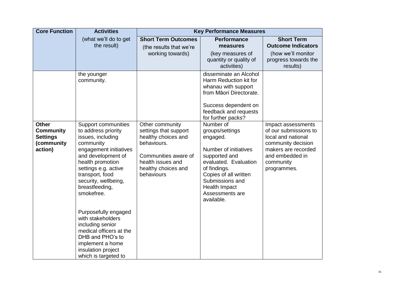| <b>Core Function</b>                                                         | <b>Activities</b>                                                                                                                                                                                                                                                                                                                                                                                                                     |                                                                                                                                                                  | <b>Key Performance Measures</b>                                                                                                                                                                                           |                                                                                                                                                               |
|------------------------------------------------------------------------------|---------------------------------------------------------------------------------------------------------------------------------------------------------------------------------------------------------------------------------------------------------------------------------------------------------------------------------------------------------------------------------------------------------------------------------------|------------------------------------------------------------------------------------------------------------------------------------------------------------------|---------------------------------------------------------------------------------------------------------------------------------------------------------------------------------------------------------------------------|---------------------------------------------------------------------------------------------------------------------------------------------------------------|
|                                                                              | (what we'll do to get<br>the result)                                                                                                                                                                                                                                                                                                                                                                                                  | <b>Short Term Outcomes</b><br>(the results that we're<br>working towards)                                                                                        | <b>Performance</b><br>measures<br>(key measures of<br>quantity or quality of<br>activities)                                                                                                                               | <b>Short Term</b><br><b>Outcome Indicators</b><br>(how we'll monitor<br>progress towards the<br>results)                                                      |
|                                                                              | the younger<br>community.                                                                                                                                                                                                                                                                                                                                                                                                             |                                                                                                                                                                  | disseminate an Alcohol<br>Harm Reduction kit for<br>whanau with support<br>from Māori Directorate.<br>Success dependent on<br>feedback and requests<br>for further packs?                                                 |                                                                                                                                                               |
| <b>Other</b><br><b>Community</b><br><b>Settings</b><br>(community<br>action) | Support communities<br>to address priority<br>issues, including<br>community<br>engagement initiatives<br>and development of<br>health promotion<br>settings e.g. active<br>transport, food<br>security, wellbeing,<br>breastfeeding,<br>smokefree.<br>Purposefully engaged<br>with stakeholders<br>including senior<br>medical officers at the<br>DHB and PHO's to<br>implement a home<br>insulation project<br>which is targeted to | Other community<br>settings that support<br>healthy choices and<br>behaviours.<br>Communities aware of<br>health issues and<br>healthy choices and<br>behaviours | Number of<br>groups/settings<br>engaged.<br>Number of initiatives<br>supported and<br>evaluated. Evaluation<br>of findings.<br>Copies of all written<br>Submissions and<br>Health Impact<br>Assessments are<br>available. | Impact assessments<br>of our submissions to<br>local and national<br>community decision<br>makers are recorded<br>and embedded in<br>community<br>programmes. |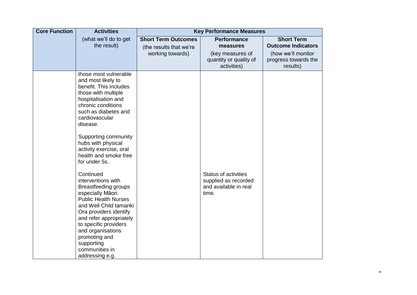| <b>Core Function</b> | <b>Activities</b>                                                                                                                                                                                                                                                                                                                                                                                                                                                                                                                                                                                                                   |                                                                           | <b>Key Performance Measures</b>                                                             |                                                                                                          |
|----------------------|-------------------------------------------------------------------------------------------------------------------------------------------------------------------------------------------------------------------------------------------------------------------------------------------------------------------------------------------------------------------------------------------------------------------------------------------------------------------------------------------------------------------------------------------------------------------------------------------------------------------------------------|---------------------------------------------------------------------------|---------------------------------------------------------------------------------------------|----------------------------------------------------------------------------------------------------------|
|                      | (what we'll do to get<br>the result)                                                                                                                                                                                                                                                                                                                                                                                                                                                                                                                                                                                                | <b>Short Term Outcomes</b><br>(the results that we're<br>working towards) | <b>Performance</b><br>measures<br>(key measures of<br>quantity or quality of<br>activities) | <b>Short Term</b><br><b>Outcome Indicators</b><br>(how we'll monitor<br>progress towards the<br>results) |
|                      | those most vulnerable<br>and most likely to<br>benefit. This includes<br>those with multiple<br>hospitalisation and<br>chronic conditions<br>such as diabetes and<br>cardiovascular<br>disease.<br>Supporting community<br>hubs with physical<br>activity exercise, oral<br>health and smoke free<br>for under 5s.<br>Continued<br>interventions with<br>Breastfeeding groups<br>especially Māori.<br><b>Public Health Nurses</b><br>and Well Child tamariki<br>Ora providers identify<br>and refer appropriately<br>to specific providers<br>and organisations<br>promoting and<br>supporting<br>communities in<br>addressing e.g. |                                                                           | <b>Status of activities</b><br>supplied as recorded<br>and available in real<br>time.       |                                                                                                          |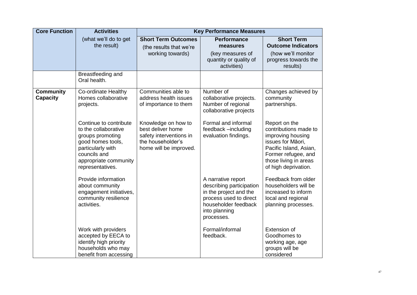| <b>Core Function</b>                | <b>Activities</b>                                                                                                                                                         |                                                                                                                    | <b>Key Performance Measures</b>                                                                                                                           |                                                                                                                                                                                    |
|-------------------------------------|---------------------------------------------------------------------------------------------------------------------------------------------------------------------------|--------------------------------------------------------------------------------------------------------------------|-----------------------------------------------------------------------------------------------------------------------------------------------------------|------------------------------------------------------------------------------------------------------------------------------------------------------------------------------------|
|                                     | (what we'll do to get<br>the result)                                                                                                                                      | <b>Short Term Outcomes</b><br>(the results that we're<br>working towards)                                          | <b>Performance</b><br>measures<br>(key measures of<br>quantity or quality of                                                                              | <b>Short Term</b><br><b>Outcome Indicators</b><br>(how we'll monitor<br>progress towards the                                                                                       |
|                                     |                                                                                                                                                                           |                                                                                                                    | activities)                                                                                                                                               | results)                                                                                                                                                                           |
|                                     | Breastfeeding and<br>Oral health.                                                                                                                                         |                                                                                                                    |                                                                                                                                                           |                                                                                                                                                                                    |
| <b>Community</b><br><b>Capacity</b> | <b>Co-ordinate Healthy</b><br>Homes collaborative<br>projects.                                                                                                            | Communities able to<br>address health issues<br>of importance to them                                              | Number of<br>collaborative projects.<br>Number of regional<br>collaborative projects                                                                      | Changes achieved by<br>community<br>partnerships.                                                                                                                                  |
|                                     | Continue to contribute<br>to the collaborative<br>groups promoting<br>good homes tools,<br>particularly with<br>councils and<br>appropriate community<br>representatives. | Knowledge on how to<br>best deliver home<br>safety interventions in<br>the householder's<br>home will be improved. | Formal and informal<br>feedback -including<br>evaluation findings.                                                                                        | Report on the<br>contributions made to<br>improving housing<br>issues for Māori,<br>Pacific Island, Asian,<br>Former refugee, and<br>those living in areas<br>of high deprivation. |
|                                     | Provide information<br>about community<br>engagement initiatives,<br>community resilience<br>activities.                                                                  |                                                                                                                    | A narrative report<br>describing participation<br>in the project and the<br>process used to direct<br>householder feedback<br>into planning<br>processes. | Feedback from older<br>householders will be<br>increased to inform<br>local and regional<br>planning processes.                                                                    |
|                                     | Work with providers<br>accepted by EECA to<br>identify high priority<br>households who may<br>benefit from accessing                                                      |                                                                                                                    | Formal/informal<br>feedback.                                                                                                                              | Extension of<br>Goodhomes to<br>working age, age<br>groups will be<br>considered                                                                                                   |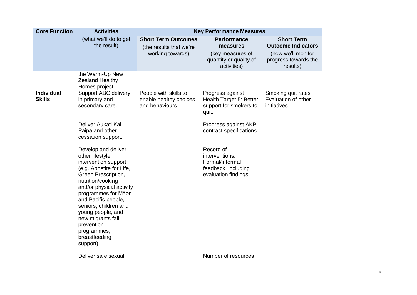| <b>Core Function</b>        | <b>Activities</b>                                                                                                                                                                                                                                                                                                                                                      |                                                                           | <b>Key Performance Measures</b>                                                                                      |                                                                                                          |
|-----------------------------|------------------------------------------------------------------------------------------------------------------------------------------------------------------------------------------------------------------------------------------------------------------------------------------------------------------------------------------------------------------------|---------------------------------------------------------------------------|----------------------------------------------------------------------------------------------------------------------|----------------------------------------------------------------------------------------------------------|
|                             | (what we'll do to get<br>the result)                                                                                                                                                                                                                                                                                                                                   | <b>Short Term Outcomes</b><br>(the results that we're<br>working towards) | <b>Performance</b><br>measures<br>(key measures of<br>quantity or quality of<br>activities)                          | <b>Short Term</b><br><b>Outcome Indicators</b><br>(how we'll monitor<br>progress towards the<br>results) |
|                             | the Warm-Up New<br><b>Zealand Healthy</b><br>Homes project                                                                                                                                                                                                                                                                                                             |                                                                           |                                                                                                                      |                                                                                                          |
| Individual<br><b>Skills</b> | <b>Support ABC delivery</b><br>in primary and<br>secondary care.<br>Deliver Aukati Kai                                                                                                                                                                                                                                                                                 | People with skills to<br>enable healthy choices<br>and behaviours         | Progress against<br>Health Target 5: Better<br>support for smokers to<br>quit.<br>Progress against AKP               | Smoking quit rates<br>Evaluation of other<br>initiatives                                                 |
|                             | Paipa and other<br>cessation support.                                                                                                                                                                                                                                                                                                                                  |                                                                           | contract specifications.                                                                                             |                                                                                                          |
|                             | Develop and deliver<br>other lifestyle<br>intervention support<br>(e.g. Appetite for Life,<br>Green Prescription,<br>nutrition/cooking<br>and/or physical activity<br>programmes for Māori<br>and Pacific people,<br>seniors, children and<br>young people, and<br>new migrants fall<br>prevention<br>programmes,<br>breastfeeding<br>support).<br>Deliver safe sexual |                                                                           | Record of<br>interventions.<br>Formal/informal<br>feedback, including<br>evaluation findings.<br>Number of resources |                                                                                                          |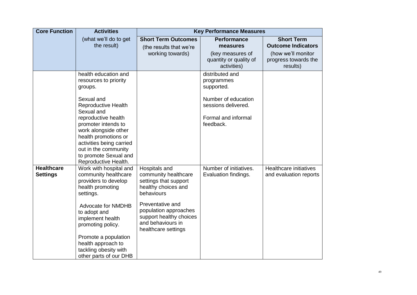| <b>Core Function</b>                 | <b>Activities</b>                                                                                                                                                                                                     |                                                                                                                                                                                                  | <b>Key Performance Measures</b>                                                                                  |                                                                                                          |
|--------------------------------------|-----------------------------------------------------------------------------------------------------------------------------------------------------------------------------------------------------------------------|--------------------------------------------------------------------------------------------------------------------------------------------------------------------------------------------------|------------------------------------------------------------------------------------------------------------------|----------------------------------------------------------------------------------------------------------|
|                                      | (what we'll do to get<br>the result)                                                                                                                                                                                  | <b>Short Term Outcomes</b><br>(the results that we're<br>working towards)                                                                                                                        | <b>Performance</b><br>measures<br>(key measures of<br>quantity or quality of<br>activities)                      | <b>Short Term</b><br><b>Outcome Indicators</b><br>(how we'll monitor<br>progress towards the<br>results) |
|                                      | health education and<br>resources to priority<br>groups.<br>Sexual and<br><b>Reproductive Health</b><br>Sexual and<br>reproductive health                                                                             |                                                                                                                                                                                                  | distributed and<br>programmes<br>supported.<br>Number of education<br>sessions delivered.<br>Formal and informal |                                                                                                          |
|                                      | promoter intends to<br>work alongside other<br>health promotions or<br>activities being carried<br>out in the community<br>to promote Sexual and                                                                      |                                                                                                                                                                                                  | feedback.                                                                                                        |                                                                                                          |
| <b>Healthcare</b><br><b>Settings</b> | Reproductive Health.<br>Work with hospital and<br>community healthcare<br>providers to develop<br>health promoting<br>settings.<br><b>Advocate for NMDHB</b><br>to adopt and<br>implement health<br>promoting policy. | Hospitals and<br>community healthcare<br>settings that support<br>healthy choices and<br>behaviours<br>Preventative and<br>population approaches<br>support healthy choices<br>and behaviours in | Number of initiatives.<br>Evaluation findings.                                                                   | Healthcare initiatives<br>and evaluation reports                                                         |
|                                      | Promote a population<br>health approach to<br>tackling obesity with<br>other parts of our DHB                                                                                                                         | healthcare settings                                                                                                                                                                              |                                                                                                                  |                                                                                                          |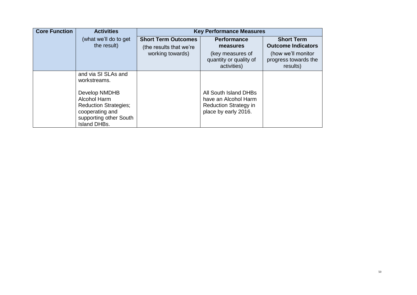| <b>Core Function</b> | <b>Activities</b>                                                                                                                                                 | <b>Key Performance Measures</b>                                           |                                                                                                       |                                                                                                          |
|----------------------|-------------------------------------------------------------------------------------------------------------------------------------------------------------------|---------------------------------------------------------------------------|-------------------------------------------------------------------------------------------------------|----------------------------------------------------------------------------------------------------------|
|                      | (what we'll do to get<br>the result)                                                                                                                              | <b>Short Term Outcomes</b><br>(the results that we're<br>working towards) | <b>Performance</b><br>measures<br>(key measures of<br>quantity or quality of<br>activities)           | <b>Short Term</b><br><b>Outcome Indicators</b><br>(how we'll monitor<br>progress towards the<br>results) |
|                      | and via SI SLAs and<br>workstreams.<br>Develop NMDHB<br>Alcohol Harm<br><b>Reduction Strategies;</b><br>cooperating and<br>supporting other South<br>Island DHBs. |                                                                           | All South Island DHBs<br>have an Alcohol Harm<br><b>Reduction Strategy in</b><br>place by early 2016. |                                                                                                          |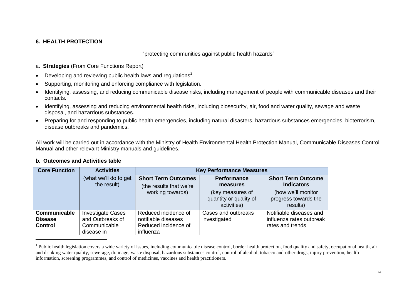## **6. HEALTH PROTECTION**

"protecting communities against public health hazards"

- a. **Strategies** (From Core Functions Report)
- Developing and reviewing public health laws and regulations**<sup>1</sup>** .
- Supporting, monitoring and enforcing compliance with legislation.
- Identifying, assessing, and reducing communicable disease risks, including management of people with communicable diseases and their contacts.
- Identifying, assessing and reducing environmental health risks, including biosecurity, air, food and water quality, sewage and waste disposal, and hazardous substances.
- Preparing for and responding to public health emergencies, including natural disasters, hazardous substances emergencies, bioterrorism, disease outbreaks and pandemics.

All work will be carried out in accordance with the Ministry of Health Environmental Health Protection Manual, Communicable Diseases Control Manual and other relevant Ministry manuals and guidelines.

| <b>Core Function</b>                             | <b>Activities</b>                                                          | <b>Key Performance Measures</b>                                                  |                                                           |                                                                         |
|--------------------------------------------------|----------------------------------------------------------------------------|----------------------------------------------------------------------------------|-----------------------------------------------------------|-------------------------------------------------------------------------|
|                                                  | (what we'll do to get<br>the result)                                       | <b>Short Term Outcomes</b><br>(the results that we're                            | <b>Performance</b><br>measures                            | <b>Short Term Outcome</b><br><b>Indicators</b>                          |
|                                                  |                                                                            | working towards)                                                                 | (key measures of<br>quantity or quality of<br>activities) | (how we'll monitor<br>progress towards the<br>results)                  |
| Communicable<br><b>Disease</b><br><b>Control</b> | <b>Investigate Cases</b><br>and Outbreaks of<br>Communicable<br>disease in | Reduced incidence of<br>notifiable diseases<br>Reduced incidence of<br>influenza | Cases and outbreaks<br>investigated                       | Notifiable diseases and<br>influenza rates outbreak<br>rates and trends |

#### **b. Outcomes and Activities table**

1

<sup>&</sup>lt;sup>1</sup> Public health legislation covers a wide variety of issues, including communicable disease control, border health protection, food quality and safety, occupational health, air and drinking water quality, sewerage, drainage, waste disposal, hazardous substances control, control of alcohol, tobacco and other drugs, injury prevention, health information, screening programmes, and control of medicines, vaccines and health practitioners.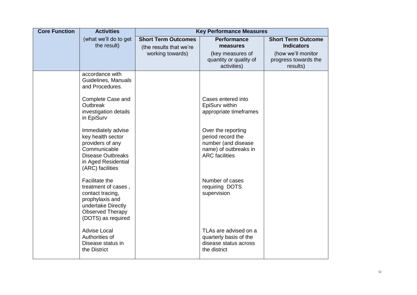| <b>Core Function</b> | <b>Activities</b>                                                                                                                                          |                                                       | <b>Key Performance Measures</b>                                                                                  |                                                        |
|----------------------|------------------------------------------------------------------------------------------------------------------------------------------------------------|-------------------------------------------------------|------------------------------------------------------------------------------------------------------------------|--------------------------------------------------------|
|                      | (what we'll do to get<br>the result)                                                                                                                       | <b>Short Term Outcomes</b><br>(the results that we're | <b>Performance</b><br>measures                                                                                   | <b>Short Term Outcome</b><br><b>Indicators</b>         |
|                      |                                                                                                                                                            | working towards)                                      | (key measures of<br>quantity or quality of<br>activities)                                                        | (how we'll monitor<br>progress towards the<br>results) |
|                      | accordance with<br>Guidelines, Manuals<br>and Procedures.                                                                                                  |                                                       |                                                                                                                  |                                                        |
|                      | Complete Case and<br>Outbreak<br>investigation details<br>in EpiSurv                                                                                       |                                                       | Cases entered into<br>EpiSurv within<br>appropriate timeframes                                                   |                                                        |
|                      | Immediately advise<br>key health sector<br>providers of any<br>Communicable<br><b>Disease Outbreaks</b><br>in Aged Residential<br>(ARC) facilities         |                                                       | Over the reporting<br>period record the<br>number (and disease<br>name) of outbreaks in<br><b>ARC</b> facilities |                                                        |
|                      | <b>Facilitate the</b><br>treatment of cases,<br>contact tracing,<br>prophylaxis and<br>undertake Directly<br><b>Observed Therapy</b><br>(DOTS) as required |                                                       | Number of cases<br>requiring DOTS<br>supervision                                                                 |                                                        |
|                      | <b>Advise Local</b><br>Authorities of<br>Disease status in<br>the District                                                                                 |                                                       | TLAs are advised on a<br>quarterly basis of the<br>disease status across<br>the district                         |                                                        |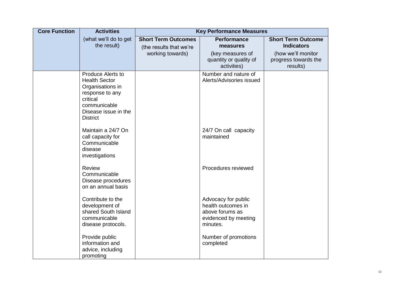| <b>Core Function</b> | <b>Activities</b>                                                                                                                                       |                                                                           | <b>Key Performance Measures</b>                                                                  |                                                                                                          |
|----------------------|---------------------------------------------------------------------------------------------------------------------------------------------------------|---------------------------------------------------------------------------|--------------------------------------------------------------------------------------------------|----------------------------------------------------------------------------------------------------------|
|                      | (what we'll do to get<br>the result)                                                                                                                    | <b>Short Term Outcomes</b><br>(the results that we're<br>working towards) | <b>Performance</b><br>measures<br>(key measures of<br>quantity or quality of<br>activities)      | <b>Short Term Outcome</b><br><b>Indicators</b><br>(how we'll monitor<br>progress towards the<br>results) |
|                      | Produce Alerts to<br><b>Health Sector</b><br>Organisations in<br>response to any<br>critical<br>communicable<br>Disease issue in the<br><b>District</b> |                                                                           | Number and nature of<br>Alerts/Advisories issued                                                 |                                                                                                          |
|                      | Maintain a 24/7 On<br>call capacity for<br>Communicable<br>disease<br>investigations                                                                    |                                                                           | 24/7 On call capacity<br>maintained                                                              |                                                                                                          |
|                      | <b>Review</b><br>Communicable<br>Disease procedures<br>on an annual basis                                                                               |                                                                           | Procedures reviewed                                                                              |                                                                                                          |
|                      | Contribute to the<br>development of<br>shared South Island<br>communicable<br>disease protocols.                                                        |                                                                           | Advocacy for public<br>health outcomes in<br>above forums as<br>evidenced by meeting<br>minutes. |                                                                                                          |
|                      | Provide public<br>information and<br>advice, including<br>promoting                                                                                     |                                                                           | Number of promotions<br>completed                                                                |                                                                                                          |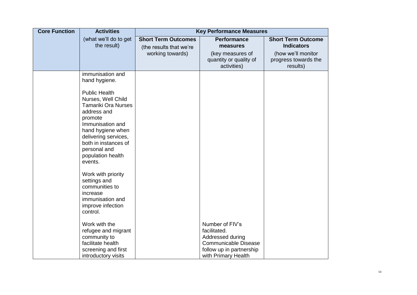| <b>Core Function</b> | <b>Activities</b>                                                                                                                                                                                                                                                                                                                                                                                                                                                                      |                                                                           | <b>Key Performance Measures</b>                                                             |                                                                                                          |
|----------------------|----------------------------------------------------------------------------------------------------------------------------------------------------------------------------------------------------------------------------------------------------------------------------------------------------------------------------------------------------------------------------------------------------------------------------------------------------------------------------------------|---------------------------------------------------------------------------|---------------------------------------------------------------------------------------------|----------------------------------------------------------------------------------------------------------|
|                      | (what we'll do to get<br>the result)                                                                                                                                                                                                                                                                                                                                                                                                                                                   | <b>Short Term Outcomes</b><br>(the results that we're<br>working towards) | <b>Performance</b><br>measures<br>(key measures of<br>quantity or quality of<br>activities) | <b>Short Term Outcome</b><br><b>Indicators</b><br>(how we'll monitor<br>progress towards the<br>results) |
|                      | immunisation and<br>hand hygiene.<br><b>Public Health</b><br>Nurses, Well Child<br><b>Tamariki Ora Nurses</b><br>address and<br>promote<br>Immunisation and<br>hand hygiene when<br>delivering services,<br>both in instances of<br>personal and<br>population health<br>events.<br>Work with priority<br>settings and<br>communities to<br>increase<br>immunisation and<br>improve infection<br>control.<br>Work with the<br>refugee and migrant<br>community to<br>facilitate health |                                                                           | Number of FIV's<br>facilitated.<br>Addressed during<br><b>Communicable Disease</b>          |                                                                                                          |
|                      | screening and first<br>introductory visits                                                                                                                                                                                                                                                                                                                                                                                                                                             |                                                                           | follow up in partnership<br>with Primary Health                                             |                                                                                                          |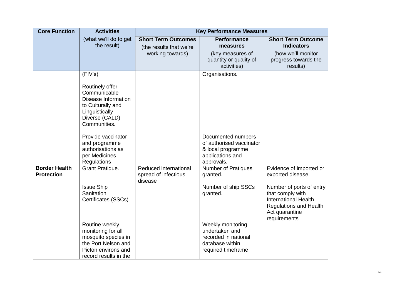| <b>Core Function</b>                      | <b>Activities</b>                                                                                                                  |                                                          | <b>Key Performance Measures</b>                                                                      |                                                                                                                                                |
|-------------------------------------------|------------------------------------------------------------------------------------------------------------------------------------|----------------------------------------------------------|------------------------------------------------------------------------------------------------------|------------------------------------------------------------------------------------------------------------------------------------------------|
|                                           | (what we'll do to get<br>the result)                                                                                               | <b>Short Term Outcomes</b><br>(the results that we're    | <b>Performance</b><br>measures                                                                       | <b>Short Term Outcome</b><br><b>Indicators</b>                                                                                                 |
|                                           |                                                                                                                                    | working towards)                                         | (key measures of<br>quantity or quality of<br>activities)                                            | (how we'll monitor<br>progress towards the<br>results)                                                                                         |
|                                           | (FIV's).                                                                                                                           |                                                          | Organisations.                                                                                       |                                                                                                                                                |
|                                           | Routinely offer<br>Communicable<br>Disease Information<br>to Culturally and<br>Linguistically<br>Diverse (CALD)<br>Communities.    |                                                          |                                                                                                      |                                                                                                                                                |
|                                           | Provide vaccinator                                                                                                                 |                                                          | Documented numbers                                                                                   |                                                                                                                                                |
|                                           | and programme<br>authorisations as                                                                                                 |                                                          | of authorised vaccinator                                                                             |                                                                                                                                                |
|                                           | per Medicines                                                                                                                      |                                                          | & local programme<br>applications and                                                                |                                                                                                                                                |
|                                           | Regulations                                                                                                                        |                                                          | approvals.                                                                                           |                                                                                                                                                |
| <b>Border Health</b><br><b>Protection</b> | Grant Pratique.                                                                                                                    | Reduced international<br>spread of infectious<br>disease | <b>Number of Pratiques</b><br>granted.                                                               | Evidence of imported or<br>exported disease.                                                                                                   |
|                                           | <b>Issue Ship</b><br>Sanitation<br>Certificates.(SSCs)                                                                             |                                                          | Number of ship SSCs<br>granted.                                                                      | Number of ports of entry<br>that comply with<br><b>International Health</b><br><b>Regulations and Health</b><br>Act quarantine<br>requirements |
|                                           | Routine weekly<br>monitoring for all<br>mosquito species in<br>the Port Nelson and<br>Picton environs and<br>record results in the |                                                          | Weekly monitoring<br>undertaken and<br>recorded in national<br>database within<br>required timeframe |                                                                                                                                                |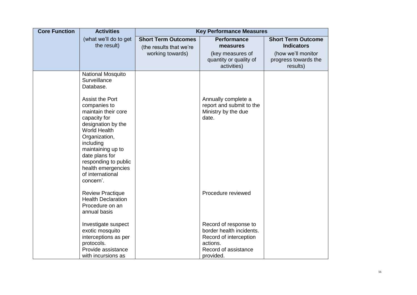| <b>Core Function</b> | <b>Activities</b>                                                                                                                                                                                                                                                       |                                                                           | <b>Key Performance Measures</b>                                                                                              |                                                                                              |
|----------------------|-------------------------------------------------------------------------------------------------------------------------------------------------------------------------------------------------------------------------------------------------------------------------|---------------------------------------------------------------------------|------------------------------------------------------------------------------------------------------------------------------|----------------------------------------------------------------------------------------------|
|                      | (what we'll do to get<br>the result)                                                                                                                                                                                                                                    | <b>Short Term Outcomes</b><br>(the results that we're<br>working towards) | <b>Performance</b><br>measures<br>(key measures of<br>quantity or quality of                                                 | <b>Short Term Outcome</b><br><b>Indicators</b><br>(how we'll monitor<br>progress towards the |
|                      |                                                                                                                                                                                                                                                                         |                                                                           | activities)                                                                                                                  | results)                                                                                     |
|                      | <b>National Mosquito</b><br>Surveillance<br>Database.                                                                                                                                                                                                                   |                                                                           |                                                                                                                              |                                                                                              |
|                      | Assist the Port<br>companies to<br>maintain their core<br>capacity for<br>designation by the<br><b>World Health</b><br>Organization,<br>including<br>maintaining up to<br>date plans for<br>responding to public<br>health emergencies<br>of international<br>concern'. |                                                                           | Annually complete a<br>report and submit to the<br>Ministry by the due<br>date.                                              |                                                                                              |
|                      | <b>Review Practique</b><br><b>Health Declaration</b><br>Procedure on an<br>annual basis                                                                                                                                                                                 |                                                                           | Procedure reviewed                                                                                                           |                                                                                              |
|                      | Investigate suspect<br>exotic mosquito<br>interceptions as per<br>protocols.<br>Provide assistance<br>with incursions as                                                                                                                                                |                                                                           | Record of response to<br>border health incidents.<br>Record of interception<br>actions.<br>Record of assistance<br>provided. |                                                                                              |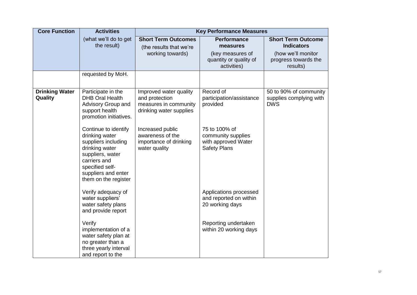| <b>Core Function</b>             | <b>Activities</b>                                                                                                                                                                     |                                                                                              | <b>Key Performance Measures</b>                                                   |                                                                                              |
|----------------------------------|---------------------------------------------------------------------------------------------------------------------------------------------------------------------------------------|----------------------------------------------------------------------------------------------|-----------------------------------------------------------------------------------|----------------------------------------------------------------------------------------------|
|                                  | (what we'll do to get<br>the result)                                                                                                                                                  | <b>Short Term Outcomes</b><br>(the results that we're<br>working towards)                    | Performance<br>measures<br>(key measures of<br>quantity or quality of             | <b>Short Term Outcome</b><br><b>Indicators</b><br>(how we'll monitor<br>progress towards the |
|                                  |                                                                                                                                                                                       |                                                                                              | activities)                                                                       | results)                                                                                     |
|                                  | requested by MoH.                                                                                                                                                                     |                                                                                              |                                                                                   |                                                                                              |
| <b>Drinking Water</b><br>Quality | Participate in the<br><b>DHB Oral Health</b><br>Advisory Group and<br>support health<br>promotion initiatives.                                                                        | Improved water quality<br>and protection<br>measures in community<br>drinking water supplies | Record of<br>participation/assistance<br>provided                                 | 50 to 90% of community<br>supplies complying with<br><b>DWS</b>                              |
|                                  | Continue to identify<br>drinking water<br>suppliers including<br>drinking water<br>suppliers, water<br>carriers and<br>specified self-<br>suppliers and enter<br>them on the register | Increased public<br>awareness of the<br>importance of drinking<br>water quality              | 75 to 100% of<br>community supplies<br>with approved Water<br><b>Safety Plans</b> |                                                                                              |
|                                  | Verify adequacy of<br>water suppliers'<br>water safety plans<br>and provide report                                                                                                    |                                                                                              | Applications processed<br>and reported on within<br>20 working days               |                                                                                              |
|                                  | Verify<br>implementation of a<br>water safety plan at<br>no greater than a<br>three yearly interval<br>and report to the                                                              |                                                                                              | Reporting undertaken<br>within 20 working days                                    |                                                                                              |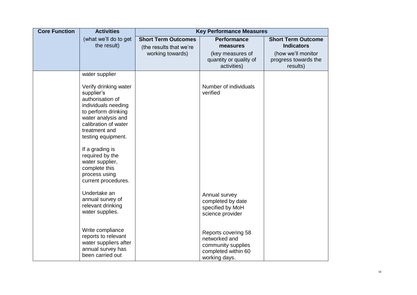| <b>Core Function</b> | <b>Activities</b>                                                                                                                                                                          |                                                                           | <b>Key Performance Measures</b>                                                                    |                                                                      |
|----------------------|--------------------------------------------------------------------------------------------------------------------------------------------------------------------------------------------|---------------------------------------------------------------------------|----------------------------------------------------------------------------------------------------|----------------------------------------------------------------------|
|                      | (what we'll do to get<br>the result)                                                                                                                                                       | <b>Short Term Outcomes</b><br>(the results that we're<br>working towards) | <b>Performance</b><br>measures<br>(key measures of                                                 | <b>Short Term Outcome</b><br><b>Indicators</b><br>(how we'll monitor |
|                      |                                                                                                                                                                                            |                                                                           | quantity or quality of<br>activities)                                                              | progress towards the<br>results)                                     |
|                      | water supplier                                                                                                                                                                             |                                                                           |                                                                                                    |                                                                      |
|                      | Verify drinking water<br>supplier's<br>authorisation of<br>individuals needing<br>to perform drinking<br>water analysis and<br>calibration of water<br>treatment and<br>testing equipment. |                                                                           | Number of individuals<br>verified                                                                  |                                                                      |
|                      | If a grading is<br>required by the<br>water supplier,<br>complete this<br>process using<br>current procedures.                                                                             |                                                                           |                                                                                                    |                                                                      |
|                      | Undertake an<br>annual survey of<br>relevant drinking<br>water supplies.                                                                                                                   |                                                                           | Annual survey<br>completed by date<br>specified by MoH<br>science provider                         |                                                                      |
|                      | Write compliance<br>reports to relevant<br>water suppliers after<br>annual survey has<br>been carried out                                                                                  |                                                                           | Reports covering 58<br>networked and<br>community supplies<br>completed within 60<br>working days. |                                                                      |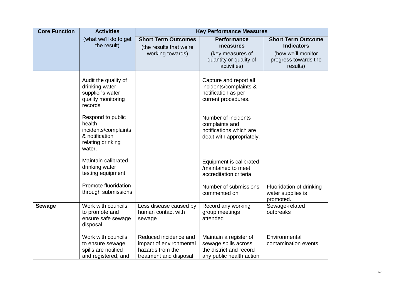| <b>Core Function</b> | <b>Activities</b>                                                                                    |                                                                                                | <b>Key Performance Measures</b>                                                                       |                                                                                                          |
|----------------------|------------------------------------------------------------------------------------------------------|------------------------------------------------------------------------------------------------|-------------------------------------------------------------------------------------------------------|----------------------------------------------------------------------------------------------------------|
|                      | (what we'll do to get<br>the result)                                                                 | <b>Short Term Outcomes</b><br>(the results that we're<br>working towards)                      | <b>Performance</b><br>measures<br>(key measures of<br>quantity or quality of<br>activities)           | <b>Short Term Outcome</b><br><b>Indicators</b><br>(how we'll monitor<br>progress towards the<br>results) |
|                      | Audit the quality of<br>drinking water<br>supplier's water<br>quality monitoring<br>records          |                                                                                                | Capture and report all<br>incidents/complaints &<br>notification as per<br>current procedures.        |                                                                                                          |
|                      | Respond to public<br>health<br>incidents/complaints<br>& notification<br>relating drinking<br>water. |                                                                                                | Number of incidents<br>complaints and<br>notifications which are<br>dealt with appropriately.         |                                                                                                          |
|                      | Maintain calibrated<br>drinking water<br>testing equipment                                           |                                                                                                | Equipment is calibrated<br>/maintained to meet<br>accreditation criteria                              |                                                                                                          |
|                      | Promote fluoridation<br>through submissions                                                          |                                                                                                | Number of submissions<br>commented on                                                                 | Fluoridation of drinking<br>water supplies is<br>promoted.                                               |
| <b>Sewage</b>        | Work with councils<br>to promote and<br>ensure safe sewage<br>disposal                               | Less disease caused by<br>human contact with<br>sewage                                         | Record any working<br>group meetings<br>attended                                                      | Sewage-related<br>outbreaks                                                                              |
|                      | Work with councils<br>to ensure sewage<br>spills are notified<br>and registered, and                 | Reduced incidence and<br>impact of environmental<br>hazards from the<br>treatment and disposal | Maintain a register of<br>sewage spills across<br>the district and record<br>any public health action | Environmental<br>contamination events                                                                    |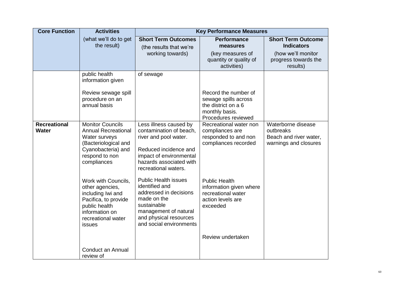| <b>Core Function</b>                | <b>Activities</b>                                                                                                                                      |                                                                                                                                                                                     | <b>Key Performance Measures</b>                                                                              |                                                                                                          |
|-------------------------------------|--------------------------------------------------------------------------------------------------------------------------------------------------------|-------------------------------------------------------------------------------------------------------------------------------------------------------------------------------------|--------------------------------------------------------------------------------------------------------------|----------------------------------------------------------------------------------------------------------|
|                                     | (what we'll do to get<br>the result)                                                                                                                   | <b>Short Term Outcomes</b><br>(the results that we're<br>working towards)                                                                                                           | <b>Performance</b><br>measures<br>(key measures of<br>quantity or quality of<br>activities)                  | <b>Short Term Outcome</b><br><b>Indicators</b><br>(how we'll monitor<br>progress towards the<br>results) |
|                                     | public health<br>information given<br>Review sewage spill<br>procedure on an<br>annual basis                                                           | of sewage                                                                                                                                                                           | Record the number of<br>sewage spills across<br>the district on a 6<br>monthly basis.<br>Procedures reviewed |                                                                                                          |
| <b>Recreational</b><br><b>Water</b> | <b>Monitor Councils</b><br><b>Annual Recreational</b><br>Water surveys<br>(Bacteriological and<br>Cyanobacteria) and<br>respond to non<br>compliances  | Less illness caused by<br>contamination of beach,<br>river and pool water.<br>Reduced incidence and<br>impact of environmental<br>hazards associated with<br>recreational waters.   | Recreational water non<br>compliances are<br>responded to and non<br>compliances recorded                    | Waterborne disease<br>outbreaks<br>Beach and river water,<br>warnings and closures                       |
|                                     | Work with Councils,<br>other agencies,<br>including Iwi and<br>Pacifica, to provide<br>public health<br>information on<br>recreational water<br>issues | <b>Public Health issues</b><br>identified and<br>addressed in decisions<br>made on the<br>sustainable<br>management of natural<br>and physical resources<br>and social environments | <b>Public Health</b><br>information given where<br>recreational water<br>action levels are<br>exceeded       |                                                                                                          |
|                                     | Conduct an Annual<br>review of                                                                                                                         |                                                                                                                                                                                     | Review undertaken                                                                                            |                                                                                                          |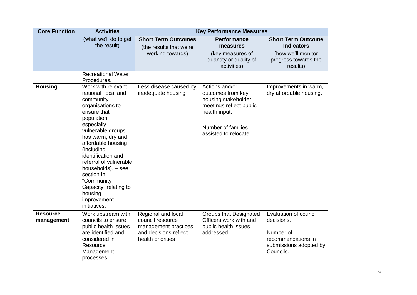| <b>Core Function</b>          | <b>Activities</b>                                                                                                                                                                                                                                                                                                                                                          |                                                                                                              | <b>Key Performance Measures</b>                                                                                                                      |                                                                                                               |
|-------------------------------|----------------------------------------------------------------------------------------------------------------------------------------------------------------------------------------------------------------------------------------------------------------------------------------------------------------------------------------------------------------------------|--------------------------------------------------------------------------------------------------------------|------------------------------------------------------------------------------------------------------------------------------------------------------|---------------------------------------------------------------------------------------------------------------|
|                               | (what we'll do to get<br>the result)                                                                                                                                                                                                                                                                                                                                       | <b>Short Term Outcomes</b><br>(the results that we're<br>working towards)                                    | <b>Performance</b><br>measures<br>(key measures of<br>quantity or quality of<br>activities)                                                          | <b>Short Term Outcome</b><br><b>Indicators</b><br>(how we'll monitor<br>progress towards the<br>results)      |
|                               | <b>Recreational Water</b><br>Procedures.                                                                                                                                                                                                                                                                                                                                   |                                                                                                              |                                                                                                                                                      |                                                                                                               |
| <b>Housing</b>                | Work with relevant<br>national, local and<br>community<br>organisations to<br>ensure that<br>population,<br>especially<br>vulnerable groups,<br>has warm, dry and<br>affordable housing<br>(including<br>identification and<br>referral of vulnerable<br>households). - see<br>section in<br>"Community<br>Capacity" relating to<br>housing<br>improvement<br>initiatives. | Less disease caused by<br>inadequate housing                                                                 | Actions and/or<br>outcomes from key<br>housing stakeholder<br>meetings reflect public<br>health input.<br>Number of families<br>assisted to relocate | Improvements in warm,<br>dry affordable housing.                                                              |
| <b>Resource</b><br>management | Work upstream with<br>councils to ensure<br>public health issues<br>are identified and<br>considered in<br>Resource<br>Management<br>processes.                                                                                                                                                                                                                            | Regional and local<br>council resource<br>management practices<br>and decisions reflect<br>health priorities | <b>Groups that Designated</b><br>Officers work with and<br>public health issues<br>addressed                                                         | Evaluation of council<br>decisions.<br>Number of<br>recommendations in<br>submissions adopted by<br>Councils. |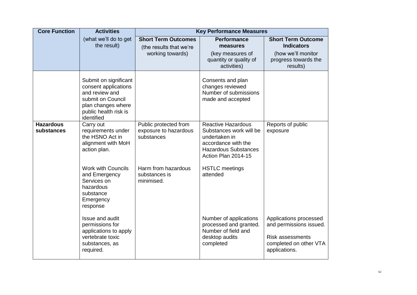| <b>Core Function</b>           | <b>Activities</b>                                                                                                                                 |                                                                           | <b>Key Performance Measures</b>                                                                                                                    |                                                                                                                         |
|--------------------------------|---------------------------------------------------------------------------------------------------------------------------------------------------|---------------------------------------------------------------------------|----------------------------------------------------------------------------------------------------------------------------------------------------|-------------------------------------------------------------------------------------------------------------------------|
|                                | (what we'll do to get<br>the result)                                                                                                              | <b>Short Term Outcomes</b><br>(the results that we're<br>working towards) | <b>Performance</b><br>measures<br>(key measures of<br>quantity or quality of<br>activities)                                                        | <b>Short Term Outcome</b><br><b>Indicators</b><br>(how we'll monitor<br>progress towards the<br>results)                |
|                                | Submit on significant<br>consent applications<br>and review and<br>submit on Council<br>plan changes where<br>public health risk is<br>identified |                                                                           | Consents and plan<br>changes reviewed<br>Number of submissions<br>made and accepted                                                                |                                                                                                                         |
| <b>Hazardous</b><br>substances | Carry out<br>requirements under<br>the HSNO Act in<br>alignment with MoH<br>action plan.                                                          | Public protected from<br>exposure to hazardous<br>substances              | <b>Reactive Hazardous</b><br>Substances work will be<br>undertaken in<br>accordance with the<br><b>Hazardous Substances</b><br>Action Plan 2014-15 | Reports of public<br>exposure                                                                                           |
|                                | <b>Work with Councils</b><br>and Emergency<br>Services on<br>hazardous<br>substance<br>Emergency<br>response                                      | Harm from hazardous<br>substances is<br>minimised.                        | <b>HSTLC</b> meetings<br>attended                                                                                                                  |                                                                                                                         |
|                                | Issue and audit<br>permissions for<br>applications to apply<br>vertebrate toxic<br>substances, as<br>required.                                    |                                                                           | Number of applications<br>processed and granted.<br>Number of field and<br>desktop audits<br>completed                                             | Applications processed<br>and permissions issued.<br><b>Risk assessments</b><br>completed on other VTA<br>applications. |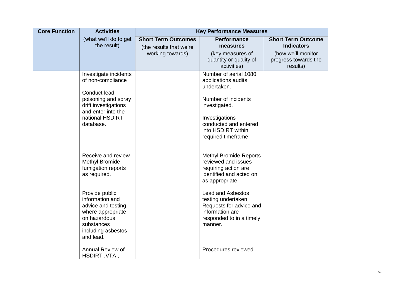| <b>Core Function</b> | <b>Activities</b>                                                                                                                             |                                                       | <b>Key Performance Measures</b>                                                                                                      |                                                        |
|----------------------|-----------------------------------------------------------------------------------------------------------------------------------------------|-------------------------------------------------------|--------------------------------------------------------------------------------------------------------------------------------------|--------------------------------------------------------|
|                      | (what we'll do to get<br>the result)                                                                                                          | <b>Short Term Outcomes</b><br>(the results that we're | <b>Performance</b><br>measures                                                                                                       | <b>Short Term Outcome</b><br><b>Indicators</b>         |
|                      |                                                                                                                                               | working towards)                                      | (key measures of<br>quantity or quality of<br>activities)                                                                            | (how we'll monitor<br>progress towards the<br>results) |
|                      | Investigate incidents<br>of non-compliance<br>Conduct lead                                                                                    |                                                       | Number of aerial 1080<br>applications audits<br>undertaken.                                                                          |                                                        |
|                      | poisoning and spray<br>drift investigations<br>and enter into the<br>national HSDIRT                                                          |                                                       | Number of incidents<br>investigated.<br>Investigations                                                                               |                                                        |
|                      | database.                                                                                                                                     |                                                       | conducted and entered<br>into HSDIRT within<br>required timeframe                                                                    |                                                        |
|                      | Receive and review<br><b>Methyl Bromide</b><br>fumigation reports<br>as required.                                                             |                                                       | <b>Methyl Bromide Reports</b><br>reviewed and issues<br>requiring action are<br>identified and acted on<br>as appropriate            |                                                        |
|                      | Provide public<br>information and<br>advice and testing<br>where appropriate<br>on hazardous<br>substances<br>including asbestos<br>and lead. |                                                       | <b>Lead and Asbestos</b><br>testing undertaken.<br>Requests for advice and<br>information are<br>responded to in a timely<br>manner. |                                                        |
|                      | Annual Review of<br>HSDIRT, VTA,                                                                                                              |                                                       | Procedures reviewed                                                                                                                  |                                                        |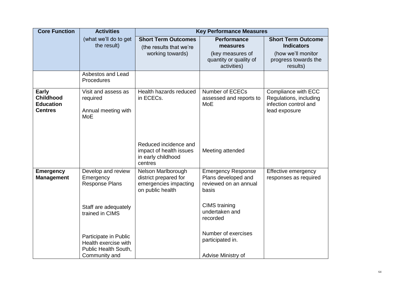| <b>Core Function</b>                                                   | <b>Activities</b>                                                                      |                                                                                          | <b>Key Performance Measures</b>                                                    |                                                                                         |
|------------------------------------------------------------------------|----------------------------------------------------------------------------------------|------------------------------------------------------------------------------------------|------------------------------------------------------------------------------------|-----------------------------------------------------------------------------------------|
|                                                                        | (what we'll do to get<br>the result)                                                   | <b>Short Term Outcomes</b><br>(the results that we're                                    | <b>Performance</b><br>measures                                                     | <b>Short Term Outcome</b><br><b>Indicators</b>                                          |
|                                                                        |                                                                                        | working towards)                                                                         | (key measures of<br>quantity or quality of<br>activities)                          | (how we'll monitor<br>progress towards the<br>results)                                  |
|                                                                        | Asbestos and Lead<br>Procedures                                                        |                                                                                          |                                                                                    |                                                                                         |
| <b>Early</b><br><b>Childhood</b><br><b>Education</b><br><b>Centres</b> | Visit and assess as<br>required<br>Annual meeting with<br>MoE                          | Health hazards reduced<br>in ECECs.                                                      | Number of ECECs<br>assessed and reports to<br><b>MoE</b>                           | Compliance with ECC<br>Regulations, including<br>infection control and<br>lead exposure |
|                                                                        |                                                                                        | Reduced incidence and<br>impact of health issues<br>in early childhood<br>centres        | Meeting attended                                                                   |                                                                                         |
| <b>Emergency</b><br><b>Management</b>                                  | Develop and review<br>Emergency<br><b>Response Plans</b>                               | Nelson Marlborough<br>district prepared for<br>emergencies impacting<br>on public health | <b>Emergency Response</b><br>Plans developed and<br>reviewed on an annual<br>basis | Effective emergency<br>responses as required                                            |
|                                                                        | Staff are adequately<br>trained in CIMS                                                |                                                                                          | <b>CIMS</b> training<br>undertaken and<br>recorded                                 |                                                                                         |
|                                                                        | Participate in Public<br>Health exercise with<br>Public Health South,<br>Community and |                                                                                          | Number of exercises<br>participated in.<br>Advise Ministry of                      |                                                                                         |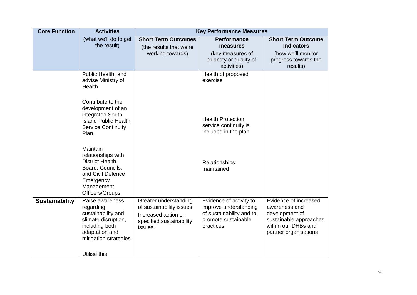| <b>Core Function</b>  | <b>Activities</b>                                                                                                                                       |                                                                                                                 | <b>Key Performance Measures</b>                                                                                  |                                                                                                                                    |
|-----------------------|---------------------------------------------------------------------------------------------------------------------------------------------------------|-----------------------------------------------------------------------------------------------------------------|------------------------------------------------------------------------------------------------------------------|------------------------------------------------------------------------------------------------------------------------------------|
|                       | (what we'll do to get<br>the result)                                                                                                                    | <b>Short Term Outcomes</b><br>(the results that we're                                                           | <b>Performance</b><br>measures                                                                                   | <b>Short Term Outcome</b><br><b>Indicators</b>                                                                                     |
|                       |                                                                                                                                                         | working towards)                                                                                                | (key measures of<br>quantity or quality of<br>activities)                                                        | (how we'll monitor<br>progress towards the<br>results)                                                                             |
|                       | Public Health, and<br>advise Ministry of<br>Health.                                                                                                     |                                                                                                                 | Health of proposed<br>exercise                                                                                   |                                                                                                                                    |
|                       | Contribute to the<br>development of an<br>integrated South<br><b>Island Public Health</b><br><b>Service Continuity</b><br>Plan.                         |                                                                                                                 | <b>Health Protection</b><br>service continuity is<br>included in the plan                                        |                                                                                                                                    |
|                       | <b>Maintain</b><br>relationships with<br><b>District Health</b><br>Board, Councils,<br>and Civil Defence<br>Emergency<br>Management<br>Officers/Groups. |                                                                                                                 | Relationships<br>maintained                                                                                      |                                                                                                                                    |
| <b>Sustainability</b> | Raise awareness<br>regarding<br>sustainability and<br>climate disruption,<br>including both<br>adaptation and<br>mitigation strategies.                 | Greater understanding<br>of sustainability issues<br>Increased action on<br>specified sustainability<br>issues. | Evidence of activity to<br>improve understanding<br>of sustainability and to<br>promote sustainable<br>practices | Evidence of increased<br>awareness and<br>development of<br>sustainable approaches<br>within our DHBs and<br>partner organisations |
|                       | Utilise this                                                                                                                                            |                                                                                                                 |                                                                                                                  |                                                                                                                                    |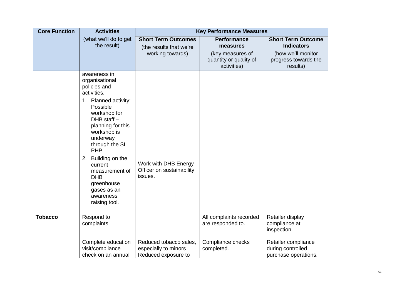| <b>Core Function</b> | <b>Activities</b>                                                                                                                                                                                                                                                                                                                             |                                                                           | <b>Key Performance Measures</b>                                                             |                                                                                                          |
|----------------------|-----------------------------------------------------------------------------------------------------------------------------------------------------------------------------------------------------------------------------------------------------------------------------------------------------------------------------------------------|---------------------------------------------------------------------------|---------------------------------------------------------------------------------------------|----------------------------------------------------------------------------------------------------------|
|                      | (what we'll do to get<br>the result)                                                                                                                                                                                                                                                                                                          | <b>Short Term Outcomes</b><br>(the results that we're<br>working towards) | <b>Performance</b><br>measures<br>(key measures of<br>quantity or quality of<br>activities) | <b>Short Term Outcome</b><br><b>Indicators</b><br>(how we'll monitor<br>progress towards the<br>results) |
|                      | awareness in<br>organisational<br>policies and<br>activities.<br>1. Planned activity:<br>Possible<br>workshop for<br>$DHB$ staff $-$<br>planning for this<br>workshop is<br>underway<br>through the SI<br>PHP.<br>Building on the<br>2.<br>current<br>measurement of<br><b>DHB</b><br>greenhouse<br>gases as an<br>awareness<br>raising tool. | Work with DHB Energy<br>Officer on sustainability<br>issues.              |                                                                                             |                                                                                                          |
| <b>Tobacco</b>       | Respond to<br>complaints.                                                                                                                                                                                                                                                                                                                     |                                                                           | All complaints recorded<br>are responded to.                                                | Retailer display<br>compliance at<br>inspection.                                                         |
|                      | Complete education<br>visit/compliance<br>check on an annual                                                                                                                                                                                                                                                                                  | Reduced tobacco sales,<br>especially to minors<br>Reduced exposure to     | Compliance checks<br>completed.                                                             | Retailer compliance<br>during controlled<br>purchase operations.                                         |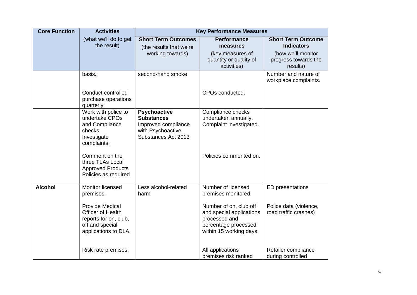| <b>Core Function</b> | <b>Activities</b>                                                                                               |                                                                                                             | <b>Key Performance Measures</b>                                                                                        |                                                        |
|----------------------|-----------------------------------------------------------------------------------------------------------------|-------------------------------------------------------------------------------------------------------------|------------------------------------------------------------------------------------------------------------------------|--------------------------------------------------------|
|                      | (what we'll do to get<br>the result)                                                                            | <b>Short Term Outcomes</b><br>(the results that we're                                                       | <b>Performance</b><br>measures                                                                                         | <b>Short Term Outcome</b><br><b>Indicators</b>         |
|                      |                                                                                                                 | working towards)                                                                                            | (key measures of<br>quantity or quality of<br>activities)                                                              | (how we'll monitor<br>progress towards the<br>results) |
|                      | basis.                                                                                                          | second-hand smoke                                                                                           |                                                                                                                        | Number and nature of<br>workplace complaints.          |
|                      | Conduct controlled<br>purchase operations<br>quarterly.                                                         |                                                                                                             | CPOs conducted.                                                                                                        |                                                        |
|                      | Work with police to<br>undertake CPOs<br>and Compliance<br>checks.<br>Investigate<br>complaints.                | <b>Psychoactive</b><br><b>Substances</b><br>Improved compliance<br>with Psychoactive<br>Substances Act 2013 | Compliance checks<br>undertaken annually.<br>Complaint investigated.                                                   |                                                        |
|                      | Comment on the<br>three TLAs Local<br><b>Approved Products</b><br>Policies as required.                         |                                                                                                             | Policies commented on.                                                                                                 |                                                        |
| <b>Alcohol</b>       | Monitor licensed<br>premises.                                                                                   | Less alcohol-related<br>harm                                                                                | Number of licensed<br>premises monitored.                                                                              | ED presentations                                       |
|                      | <b>Provide Medical</b><br>Officer of Health<br>reports for on, club,<br>off and special<br>applications to DLA. |                                                                                                             | Number of on, club off<br>and special applications<br>processed and<br>percentage processed<br>within 15 working days. | Police data (violence,<br>road traffic crashes)        |
|                      | Risk rate premises.                                                                                             |                                                                                                             | All applications<br>premises risk ranked                                                                               | Retailer compliance<br>during controlled               |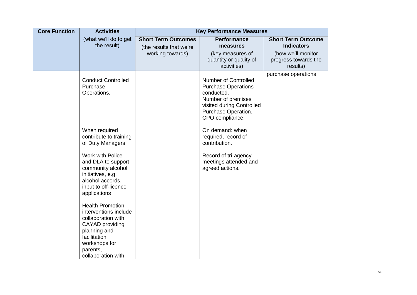| <b>Core Function</b> | <b>Activities</b>                                                                                                                                                            |                                                                                             | <b>Key Performance Measures</b>                                                                                                                                      |                     |
|----------------------|------------------------------------------------------------------------------------------------------------------------------------------------------------------------------|---------------------------------------------------------------------------------------------|----------------------------------------------------------------------------------------------------------------------------------------------------------------------|---------------------|
|                      | (what we'll do to get<br><b>Short Term Outcomes</b><br>the result)<br>(the results that we're<br>working towards)                                                            | <b>Performance</b><br>measures<br>(key measures of<br>quantity or quality of<br>activities) | <b>Short Term Outcome</b><br><b>Indicators</b><br>(how we'll monitor<br>progress towards the<br>results)                                                             |                     |
|                      | <b>Conduct Controlled</b><br>Purchase<br>Operations.                                                                                                                         |                                                                                             | <b>Number of Controlled</b><br><b>Purchase Operations</b><br>conducted.<br>Number of premises<br>visited during Controlled<br>Purchase Operation.<br>CPO compliance. | purchase operations |
|                      | When required<br>contribute to training<br>of Duty Managers.                                                                                                                 |                                                                                             | On demand: when<br>required, record of<br>contribution.                                                                                                              |                     |
|                      | Work with Police<br>and DLA to support<br>community alcohol<br>initiatives, e.g.<br>alcohol accords,<br>input to off-licence<br>applications                                 |                                                                                             | Record of tri-agency<br>meetings attended and<br>agreed actions.                                                                                                     |                     |
|                      | <b>Health Promotion</b><br>interventions include<br>collaboration with<br>CAYAD providing<br>planning and<br>facilitation<br>workshops for<br>parents,<br>collaboration with |                                                                                             |                                                                                                                                                                      |                     |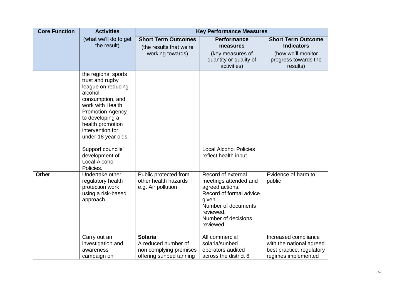| <b>Core Function</b> | <b>Activities</b>                                                                                                                                                                                                                                                                                 |                                                                                                                                        | <b>Key Performance Measures</b>                                                                                                                                                                                                      |                                                                                                                |
|----------------------|---------------------------------------------------------------------------------------------------------------------------------------------------------------------------------------------------------------------------------------------------------------------------------------------------|----------------------------------------------------------------------------------------------------------------------------------------|--------------------------------------------------------------------------------------------------------------------------------------------------------------------------------------------------------------------------------------|----------------------------------------------------------------------------------------------------------------|
|                      | (what we'll do to get<br>the result)                                                                                                                                                                                                                                                              | <b>Short Term Outcomes</b><br>(the results that we're<br>working towards)                                                              | <b>Performance</b><br>measures<br>(key measures of<br>quantity or quality of<br>activities)                                                                                                                                          | <b>Short Term Outcome</b><br><b>Indicators</b><br>(how we'll monitor<br>progress towards the<br>results)       |
|                      | the regional sports<br>trust and rugby<br>league on reducing<br>alcohol<br>consumption, and<br>work with Health<br><b>Promotion Agency</b><br>to developing a<br>health promotion<br>intervention for<br>under 18 year olds.<br>Support councils'<br>development of<br>Local Alcohol<br>Policies. |                                                                                                                                        | <b>Local Alcohol Policies</b><br>reflect health input.                                                                                                                                                                               |                                                                                                                |
| <b>Other</b>         | Undertake other<br>regulatory health<br>protection work<br>using a risk-based<br>approach.<br>Carry out an<br>investigation and<br>awareness                                                                                                                                                      | Public protected from<br>other health hazards<br>e.g. Air pollution<br><b>Solaria</b><br>A reduced number of<br>non complying premises | Record of external<br>meetings attended and<br>agreed actions.<br>Record of formal advice<br>given.<br>Number of documents<br>reviewed.<br>Number of decisions<br>reviewed.<br>All commercial<br>solaria/sunbed<br>operators audited | Evidence of harm to<br>public<br>Increased compliance<br>with the national agreed<br>best practice, regulatory |
|                      | campaign on                                                                                                                                                                                                                                                                                       | offering sunbed tanning                                                                                                                | across the district 6                                                                                                                                                                                                                | regimes implemented                                                                                            |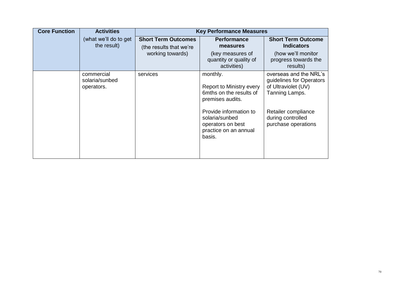| <b>Core Function</b> | <b>Activities</b>                          |                                                                           | <b>Key Performance Measures</b>                                                                                                                                                         |                                                                                                                                                                |
|----------------------|--------------------------------------------|---------------------------------------------------------------------------|-----------------------------------------------------------------------------------------------------------------------------------------------------------------------------------------|----------------------------------------------------------------------------------------------------------------------------------------------------------------|
|                      | (what we'll do to get<br>the result)       | <b>Short Term Outcomes</b><br>(the results that we're<br>working towards) | <b>Performance</b><br>measures<br>(key measures of<br>quantity or quality of<br>activities)                                                                                             | <b>Short Term Outcome</b><br><b>Indicators</b><br>(how we'll monitor<br>progress towards the<br>results)                                                       |
|                      | commercial<br>solaria/sunbed<br>operators. | services                                                                  | monthly.<br>Report to Ministry every<br>6mths on the results of<br>premises audits.<br>Provide information to<br>solaria/sunbed<br>operators on best<br>practice on an annual<br>basis. | overseas and the NRL's<br>guidelines for Operators<br>of Ultraviolet (UV)<br>Tanning Lamps.<br>Retailer compliance<br>during controlled<br>purchase operations |
|                      |                                            |                                                                           |                                                                                                                                                                                         |                                                                                                                                                                |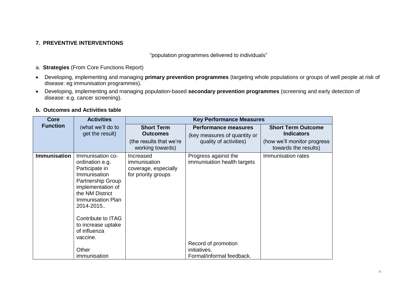# **7. PREVENTIVE INTERVENTIONS**

"population programmes delivered to individuals"

### a. **Strategies** (From Core Functions Report)

- Developing, implementing and managing **primary prevention programmes** (targeting whole populations or groups of well people at risk of disease: eg immunisation programmes).
- Developing, implementing and managing population-based **secondary prevention programmes** (screening and early detection of disease: e.g. cancer screening).

### **b. Outcomes and Activities table**

| Core                | <b>Activities</b>                                                                                                                                                                                                                                                     |                                                                                     | <b>Key Performance Measures</b>                                                                                         |                                                                                                       |
|---------------------|-----------------------------------------------------------------------------------------------------------------------------------------------------------------------------------------------------------------------------------------------------------------------|-------------------------------------------------------------------------------------|-------------------------------------------------------------------------------------------------------------------------|-------------------------------------------------------------------------------------------------------|
| <b>Function</b>     | (what we'll do to<br>get the result)                                                                                                                                                                                                                                  | <b>Short Term</b><br><b>Outcomes</b><br>(the results that we're<br>working towards) | <b>Performance measures</b><br>(key measures of quantity or<br>quality of activities)                                   | <b>Short Term Outcome</b><br><b>Indicators</b><br>(how we'll monitor progress<br>towards the results) |
| <b>Immunisation</b> | Immunisation co-<br>ordination e.g.<br>Participate in<br>Immunisation<br>Partnership Group<br>implementation of<br>the NM District<br>Immunisation Plan<br>2014-2015<br>Contribute to ITAG<br>to increase uptake<br>of influenza<br>vaccine.<br>Other<br>immunisation | Increased<br>immunisation<br>coverage, especially<br>for priority groups            | Progress against the<br>immunisation health targets<br>Record of promotion<br>initiatives.<br>Formal/informal feedback. | Immunisation rates                                                                                    |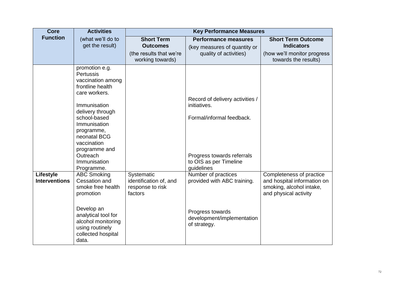| <b>Core</b>                              | <b>Activities</b>                     |                                      | <b>Key Performance Measures</b>                    |                                                         |
|------------------------------------------|---------------------------------------|--------------------------------------|----------------------------------------------------|---------------------------------------------------------|
| <b>Function</b>                          | (what we'll do to                     | <b>Short Term</b>                    | <b>Performance measures</b>                        | <b>Short Term Outcome</b>                               |
|                                          | get the result)                       | <b>Outcomes</b>                      | (key measures of quantity or                       | <b>Indicators</b>                                       |
|                                          |                                       | (the results that we're              | quality of activities)                             | (how we'll monitor progress                             |
|                                          |                                       | working towards)                     |                                                    | towards the results)                                    |
|                                          | promotion e.g.                        |                                      |                                                    |                                                         |
|                                          | <b>Pertussis</b><br>vaccination among |                                      |                                                    |                                                         |
|                                          | frontline health                      |                                      |                                                    |                                                         |
|                                          | care workers.                         |                                      |                                                    |                                                         |
|                                          |                                       |                                      | Record of delivery activities /                    |                                                         |
|                                          | Immunisation                          |                                      | initiatives.                                       |                                                         |
|                                          | delivery through                      |                                      |                                                    |                                                         |
|                                          | school-based                          |                                      | Formal/informal feedback.                          |                                                         |
|                                          | Immunisation<br>programme,            |                                      |                                                    |                                                         |
|                                          | neonatal BCG                          |                                      |                                                    |                                                         |
|                                          | vaccination                           |                                      |                                                    |                                                         |
|                                          | programme and                         |                                      |                                                    |                                                         |
|                                          | Outreach                              |                                      | Progress towards referrals                         |                                                         |
|                                          | Immunisation                          |                                      | to OIS as per Timeline                             |                                                         |
|                                          | Programme.                            |                                      | guidelines                                         |                                                         |
| <b>Lifestyle</b><br><b>Interventions</b> | <b>ABC Smoking</b><br>Cessation and   | Systematic<br>identification of, and | Number of practices<br>provided with ABC training. | Completeness of practice<br>and hospital information on |
|                                          | smoke free health                     | response to risk                     |                                                    | smoking, alcohol intake,                                |
|                                          | promotion                             | factors                              |                                                    | and physical activity                                   |
|                                          |                                       |                                      |                                                    |                                                         |
|                                          | Develop an                            |                                      |                                                    |                                                         |
|                                          | analytical tool for                   |                                      | Progress towards                                   |                                                         |
|                                          | alcohol monitoring                    |                                      | development/implementation                         |                                                         |
|                                          | using routinely                       |                                      | of strategy.                                       |                                                         |
|                                          | collected hospital                    |                                      |                                                    |                                                         |
|                                          | data.                                 |                                      |                                                    |                                                         |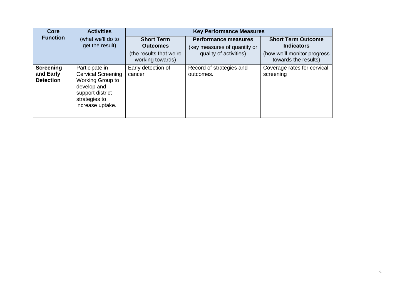| <b>Core</b>                                       | <b>Activities</b><br>(what we'll do to<br>get the result)                                                                               | <b>Key Performance Measures</b>                                                     |                                                                                       |                                                                                                       |
|---------------------------------------------------|-----------------------------------------------------------------------------------------------------------------------------------------|-------------------------------------------------------------------------------------|---------------------------------------------------------------------------------------|-------------------------------------------------------------------------------------------------------|
| <b>Function</b>                                   |                                                                                                                                         | <b>Short Term</b><br><b>Outcomes</b><br>(the results that we're<br>working towards) | <b>Performance measures</b><br>(key measures of quantity or<br>quality of activities) | <b>Short Term Outcome</b><br><b>Indicators</b><br>(how we'll monitor progress<br>towards the results) |
| <b>Screening</b><br>and Early<br><b>Detection</b> | Participate in<br><b>Cervical Screening</b><br>Working Group to<br>develop and<br>support district<br>strategies to<br>increase uptake. | Early detection of<br>cancer                                                        | Record of strategies and<br>outcomes.                                                 | Coverage rates for cervical<br>screening                                                              |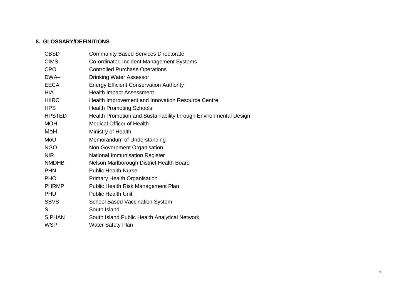## **8. GLOSSARY/DEFINITIONS**

| <b>CBSD</b>   | <b>Community Based Services Directorate</b>                      |  |  |
|---------------|------------------------------------------------------------------|--|--|
| <b>CIMS</b>   | Co-ordinated Incident Management Systems                         |  |  |
| <b>CPO</b>    | <b>Controlled Purchase Operations</b>                            |  |  |
| DWA-          | Drinking Water Assessor                                          |  |  |
| <b>EECA</b>   | <b>Energy Efficient Conservation Authority</b>                   |  |  |
| <b>HIA</b>    | <b>Health Impact Assessment</b>                                  |  |  |
| <b>HIIRC</b>  | Health Improvement and Innovation Resource Centre                |  |  |
| <b>HPS</b>    | <b>Health Promoting Schools</b>                                  |  |  |
| <b>HPSTED</b> | Health Promotion and Sustainability through Environmental Design |  |  |
| <b>MOH</b>    | <b>Medical Officer of Health</b>                                 |  |  |
| MoH           | Ministry of Health                                               |  |  |
| MoU           | Memorandum of Understanding                                      |  |  |
| <b>NGO</b>    | Non Government Organisation                                      |  |  |
| <b>NIR</b>    | National Immunisation Register                                   |  |  |
| <b>NMDHB</b>  | Nelson Marlborough District Health Board                         |  |  |
| <b>PHN</b>    | <b>Public Health Nurse</b>                                       |  |  |
| <b>PHO</b>    | <b>Primary Health Organisation</b>                               |  |  |
| <b>PHRMP</b>  | Public Health Risk Management Plan                               |  |  |
| <b>PHU</b>    | <b>Public Health Unit</b>                                        |  |  |
| <b>SBVS</b>   | <b>School Based Vaccination System</b>                           |  |  |
| SI            | South Island                                                     |  |  |
| <b>SIPHAN</b> | South Island Public Health Analytical Network                    |  |  |
| <b>WSP</b>    | <b>Water Safety Plan</b>                                         |  |  |
|               |                                                                  |  |  |